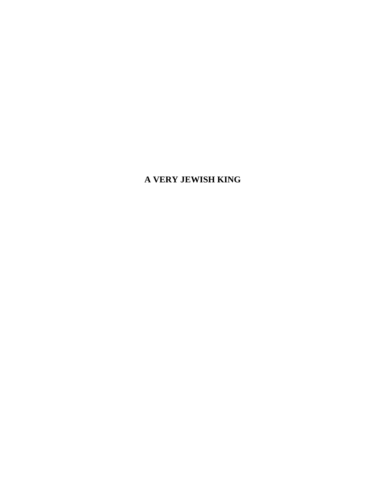# **A VERY JEWISH KING**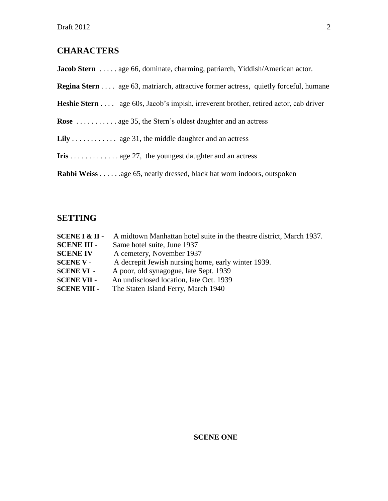# **CHARACTERS**

Jacob Stern . . . . . age 66, dominate, charming, patriarch, Yiddish/American actor.

**Regina Stern** . . . . age 63, matriarch, attractive former actress, quietly forceful, humane

**Heshie Stern** . . . . age 60s, Jacob's impish, irreverent brother, retired actor, cab driver

**Rose** . . . . . . . . . . . age 35, the Stern's oldest daughter and an actress

- Lily . . . . . . . . . . . . age 31, the middle daughter and an actress
- **Iris** . . . . . . . . . . . . . age 27, the youngest daughter and an actress

**Rabbi Weiss** . . . . . .age 65, neatly dressed, black hat worn indoors, outspoken

# **SETTING**

| $SCENE I & II -$    | A midtown Manhattan hotel suite in the theatre district, March 1937. |
|---------------------|----------------------------------------------------------------------|
| <b>SCENE III -</b>  | Same hotel suite, June 1937                                          |
| <b>SCENE IV</b>     | A cemetery, November 1937                                            |
| <b>SCENE V -</b>    | A decrepit Jewish nursing home, early winter 1939.                   |
| <b>SCENE VI -</b>   | A poor, old synagogue, late Sept. 1939                               |
| <b>SCENE VII -</b>  | An undisclosed location, late Oct. 1939                              |
| <b>SCENE VIII -</b> | The Staten Island Ferry, March 1940                                  |

# **SCENE ONE**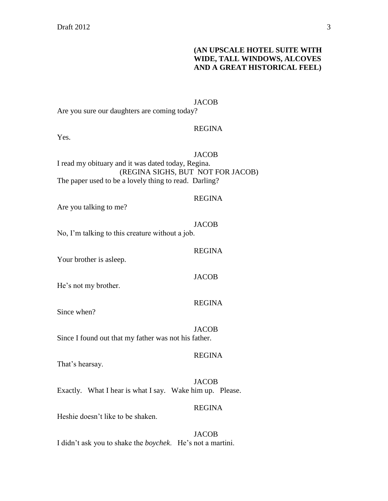# **(AN UPSCALE HOTEL SUITE WITH WIDE, TALL WINDOWS, ALCOVES AND A GREAT HISTORICAL FEEL)**

#### JACOB

Are you sure our daughters are coming today?

#### REGINA

Yes.

#### **JACOB**

I read my obituary and it was dated today, Regina. (REGINA SIGHS, BUT NOT FOR JACOB) The paper used to be a lovely thing to read. Darling?

# REGINA

REGINA

**JACOB** 

REGINA

Are you talking to me?

#### **JACOB**

No, I'm talking to this creature without a job.

Your brother is asleep.

He's not my brother.

Since when?

**JACOB** Since I found out that my father was not his father.

# REGINA

That's hearsay.

JACOB Exactly. What I hear is what I say. Wake him up. Please.

#### REGINA

Heshie doesn't like to be shaken.

**JACOB** I didn't ask you to shake the *boychek*. He's not a martini.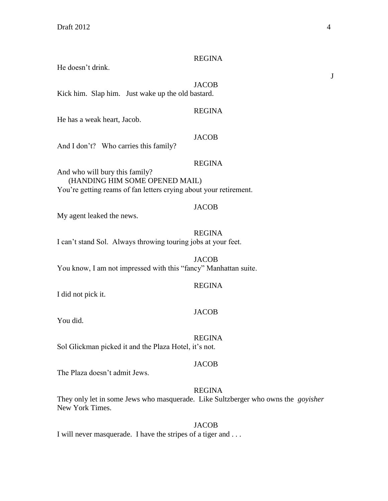#### REGINA

He doesn't drink.

**JACOB** 

Kick him. Slap him. Just wake up the old bastard.

#### REGINA

He has a weak heart, Jacob.

# **JACOB**

And I don't? Who carries this family?

# REGINA

And who will bury this family? (HANDING HIM SOME OPENED MAIL) You're getting reams of fan letters crying about your retirement.

#### JACOB

My agent leaked the news.

#### REGINA

I can't stand Sol. Always throwing touring jobs at your feet.

**JACOB** You know, I am not impressed with this "fancy" Manhattan suite.

#### REGINA

I did not pick it.

# **JACOB**

You did.

#### REGINA

Sol Glickman picked it and the Plaza Hotel, it's not.

#### JACOB

The Plaza doesn't admit Jews.

# REGINA

They only let in some Jews who masquerade. Like Sultzberger who owns the *goyisher* New York Times.

#### **JACOB**

I will never masquerade. I have the stripes of a tiger and . . .

J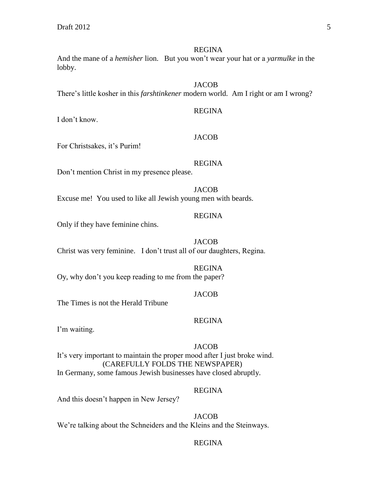#### REGINA

And the mane of a *hemisher* lion. But you won't wear your hat or a *yarmulke* in the lobby.

# **JACOB**

There's little kosher in this *farshtinkener* modern world. Am I right or am I wrong?

I don't know.

#### **JACOB**

REGINA

For Christsakes, it's Purim!

# REGINA

Don't mention Christ in my presence please.

**JACOB** Excuse me! You used to like all Jewish young men with beards.

#### REGINA

Only if they have feminine chins.

**JACOB** Christ was very feminine. I don't trust all of our daughters, Regina.

# REGINA

Oy, why don't you keep reading to me from the paper?

#### JACOB

The Times is not the Herald Tribune

# REGINA

I'm waiting.

# **JACOB**

It's very important to maintain the proper mood after I just broke wind. (CAREFULLY FOLDS THE NEWSPAPER) In Germany, some famous Jewish businesses have closed abruptly.

# REGINA

And this doesn't happen in New Jersey?

**JACOB** We're talking about the Schneiders and the Kleins and the Steinways.

# REGINA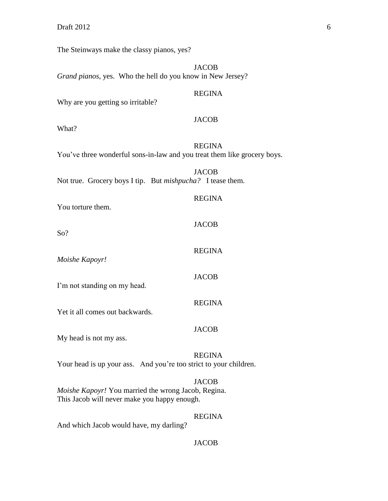Draft  $2012$  6

The Steinways make the classy pianos, yes?

**JACOB** *Grand pianos*, yes. Who the hell do you know in New Jersey? REGINA Why are you getting so irritable? JACOB What? REGINA You've three wonderful sons-in-law and you treat them like grocery boys. **JACOB** Not true. Grocery boys I tip. But *mishpucha?* I tease them. REGINA You torture them. **JACOB** So? REGINA *Moishe Kapoyr!* JACOB I'm not standing on my head. REGINA Yet it all comes out backwards. JACOB My head is not my ass. REGINA Your head is up your ass. And you're too strict to your children. **JACOB** *Moishe Kapoyr!* You married the wrong Jacob, Regina. This Jacob will never make you happy enough. REGINA And which Jacob would have, my darling?

#### **JACOB**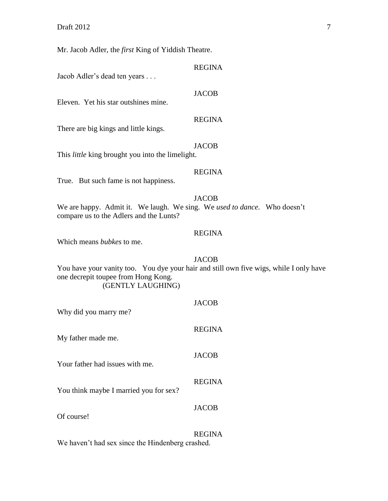Mr. Jacob Adler, the *first* King of Yiddish Theatre.

Jacob Adler's dead ten years . . .

Eleven. Yet his star outshines mine.

# REGINA

**JACOB** 

REGINA

There are big kings and little kings.

# JACOB

This *little* king brought you into the limelight.

#### REGINA

True. But such fame is not happiness.

#### **JACOB**

We are happy. Admit it. We laugh. We sing. We *used to dance*. Who doesn't compare us to the Adlers and the Lunts?

# REGINA

Which means *bubkes* to me.

#### **JACOB**

You have your vanity too. You dye your hair and still own five wigs, while I only have one decrepit toupee from Hong Kong. (GENTLY LAUGHING)

| Why did you marry me?                  | <b>JACOB</b>  |
|----------------------------------------|---------------|
| My father made me.                     | <b>REGINA</b> |
| Your father had issues with me.        | <b>JACOB</b>  |
| You think maybe I married you for sex? | <b>REGINA</b> |
| Of course!                             | <b>JACOB</b>  |
|                                        | <b>REGINA</b> |

We haven't had sex since the Hindenberg crashed.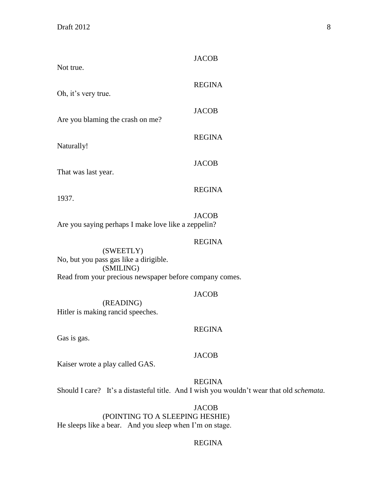| Not true.                                               | <b>JACOB</b>  |
|---------------------------------------------------------|---------------|
| Oh, it's very true.                                     | <b>REGINA</b> |
| Are you blaming the crash on me?                        | <b>JACOB</b>  |
|                                                         | <b>REGINA</b> |
| Naturally!                                              | <b>JACOB</b>  |
| That was last year.                                     |               |
| 1937.                                                   | <b>REGINA</b> |
| Are you saying perhaps I make love like a zeppelin?     | <b>JACOB</b>  |
| (SWEETLY)                                               | <b>REGINA</b> |
| No, but you pass gas like a dirigible.<br>(SMILING)     |               |
| Read from your precious newspaper before company comes. |               |

JACOB

(READING) Hitler is making rancid speeches.

#### REGINA

Gas is gas.

#### JACOB

Kaiser wrote a play called GAS.

REGINA

Should I care? It's a distasteful title. And I wish you wouldn't wear that old *schemata.*

JACOB (POINTING TO A SLEEPING HESHIE) He sleeps like a bear. And you sleep when I'm on stage.

# REGINA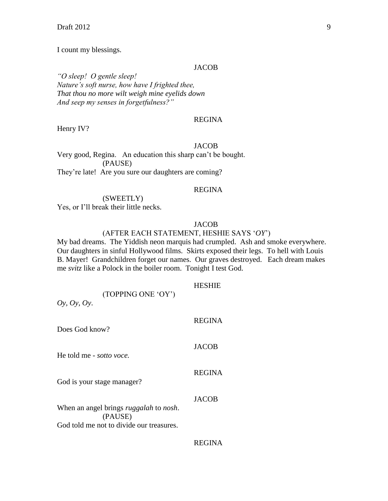$\text{Draft } 2012$  9

I count my blessings.

#### JACOB

*"O sleep! O gentle sleep! Nature's soft nurse, how have I frighted thee, That thou no more wilt weigh mine eyelids down And seep my senses in forgetfulness?"*

REGINA

Henry IV?

#### JACOB

Very good, Regina. An education this sharp can't be bought. (PAUSE) They're late! Are you sure our daughters are coming?

#### REGINA

# (SWEETLY)

Yes, or I'll break their little necks.

#### **JACOB**

#### (AFTER EACH STATEMENT, HESHIE SAYS '*OY*')

My bad dreams. The Yiddish neon marquis had crumpled. Ash and smoke everywhere. Our daughters in sinful Hollywood films. Skirts exposed their legs. To hell with Louis B. Mayer! Grandchildren forget our names. Our graves destroyed. Each dream makes me *svitz* like a Polock in the boiler room. Tonight I test God.

# HESHIE

(TOPPING ONE 'OY')

*Oy, Oy, Oy*.

| Does God know?                                                                                               | <b>REGINA</b> |
|--------------------------------------------------------------------------------------------------------------|---------------|
| He told me - sotto voce.                                                                                     | <b>JACOB</b>  |
| God is your stage manager?                                                                                   | <b>REGINA</b> |
| When an angel brings <i>ruggalah</i> to <i>nosh</i> .<br>(PAUSE)<br>God told me not to divide our treasures. | <b>JACOB</b>  |

# REGINA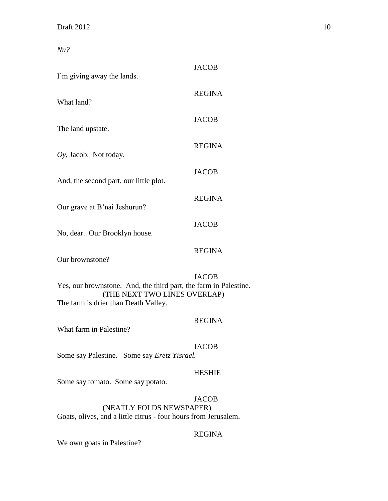*Nu?*

| I'm giving away the lands.                                                                                                               | <b>JACOB</b>  |
|------------------------------------------------------------------------------------------------------------------------------------------|---------------|
| What land?                                                                                                                               | <b>REGINA</b> |
| The land upstate.                                                                                                                        | <b>JACOB</b>  |
| $Oy$ , Jacob. Not today.                                                                                                                 | <b>REGINA</b> |
| And, the second part, our little plot.                                                                                                   | <b>JACOB</b>  |
| Our grave at B'nai Jeshurun?                                                                                                             | <b>REGINA</b> |
| No, dear. Our Brooklyn house.                                                                                                            | <b>JACOB</b>  |
| Our brownstone?                                                                                                                          | <b>REGINA</b> |
| Yes, our brownstone. And, the third part, the farm in Palestine.<br>(THE NEXT TWO LINES OVERLAP)<br>The farm is drier than Death Valley. | <b>JACOB</b>  |
| What farm in Palestine?                                                                                                                  | <b>REGINA</b> |
| Some say Palestine. Some say Eretz Yisrael.                                                                                              | <b>JACOB</b>  |
| Some say tomato. Some say potato.                                                                                                        | <b>HESHIE</b> |
|                                                                                                                                          | <b>JACOB</b>  |

(NEATLY FOLDS NEWSPAPER) Goats, olives, and a little citrus - four hours from Jerusalem.

# REGINA

We own goats in Palestine?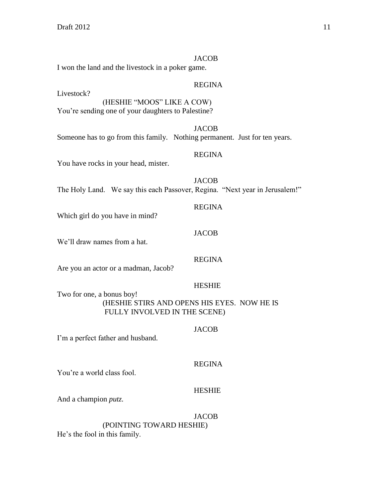#### JACOB

I won the land and the livestock in a poker game.

Livestock?

# REGINA

(HESHIE "MOOS" LIKE A COW) You're sending one of your daughters to Palestine?

JACOB Someone has to go from this family. Nothing permanent. Just for ten years.

# REGINA

You have rocks in your head, mister.

**JACOB** The Holy Land. We say this each Passover, Regina. "Next year in Jerusalem!"

#### REGINA

JACOB

Which girl do you have in mind?

We'll draw names from a hat.

# REGINA

Are you an actor or a madman, Jacob?

# HESHIE

Two for one, a bonus boy! (HESHIE STIRS AND OPENS HIS EYES. NOW HE IS FULLY INVOLVED IN THE SCENE)

# JACOB

I'm a perfect father and husband.

# REGINA

You're a world class fool.

# HESHIE

And a champion *putz.*

#### **JACOB**

(POINTING TOWARD HESHIE)

He's the fool in this family.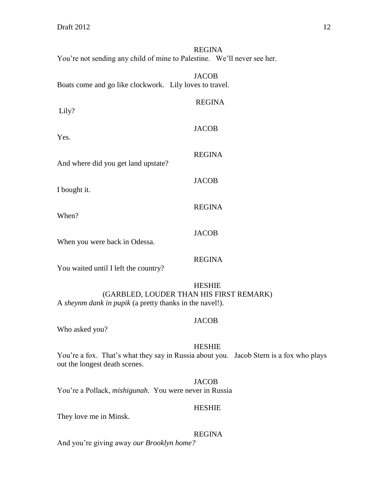# REGINA You're not sending any child of mine to Palestine. We'll never see her.

| Boats come and go like clockwork. Lily loves to travel.                                                                                                                                                                                                                                                                                                                                | <b>JACOB</b>  |
|----------------------------------------------------------------------------------------------------------------------------------------------------------------------------------------------------------------------------------------------------------------------------------------------------------------------------------------------------------------------------------------|---------------|
| Lily?                                                                                                                                                                                                                                                                                                                                                                                  | <b>REGINA</b> |
| Yes.                                                                                                                                                                                                                                                                                                                                                                                   | <b>JACOB</b>  |
|                                                                                                                                                                                                                                                                                                                                                                                        | <b>REGINA</b> |
| And where did you get land upstate?                                                                                                                                                                                                                                                                                                                                                    | <b>JACOB</b>  |
| I bought it.                                                                                                                                                                                                                                                                                                                                                                           | <b>REGINA</b> |
| When?                                                                                                                                                                                                                                                                                                                                                                                  |               |
| When you were back in Odessa.                                                                                                                                                                                                                                                                                                                                                          | <b>JACOB</b>  |
| $\mathbf{V}_{\text{max}} = \frac{1}{2}t + \frac{1}{2}t + \frac{1}{2}t + \frac{1}{2}t + \frac{1}{2}t + \frac{1}{2}t + \frac{1}{2}t + \frac{1}{2}t + \frac{1}{2}t + \frac{1}{2}t + \frac{1}{2}t + \frac{1}{2}t + \frac{1}{2}t + \frac{1}{2}t + \frac{1}{2}t + \frac{1}{2}t + \frac{1}{2}t + \frac{1}{2}t + \frac{1}{2}t + \frac{1}{2}t + \frac{1}{2}t + \frac{1}{2}t + \frac{1}{2}t + \$ | <b>REGINA</b> |

You waited until I left the country?

# HESHIE (GARBLED, LOUDER THAN HIS FIRST REMARK) A *sheynm dank in pupik* (a pretty thanks in the navel!).

# JACOB

Who asked you?

# HESHIE

You're a fox. That's what they say in Russia about you. Jacob Stern is a fox who plays out the longest death scenes.

#### JACOB

You're a Pollack, *mishigunah*. You were never in Russia

# HESHIE

They love me in Minsk.

#### REGINA

And you're giving away *our Brooklyn home?*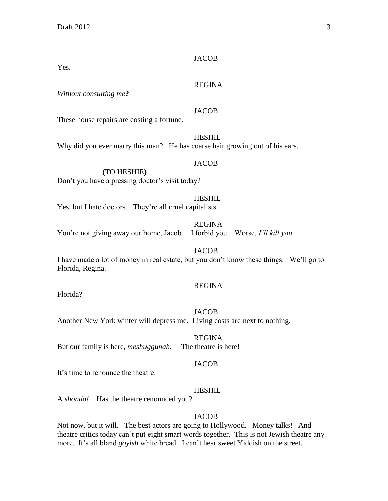# **JACOB**

Yes.

# REGINA

*Without consulting me***?**

# JACOB

**HESHIE** 

These house repairs are costing a fortune.

Why did you ever marry this man? He has coarse hair growing out of his ears.

# JACOB

(TO HESHIE) Don't you have a pressing doctor's visit today?

# HESHIE

Yes, but I hate doctors. They're all cruel capitalists.

# REGINA

You're not giving away our home, Jacob. I forbid you. Worse, *I'll kill you.*

# **JACOB**

I have made a lot of money in real estate, but you don't know these things. We'll go to Florida, Regina.

# REGINA

Florida?

# JACOB

Another New York winter will depress me. Living costs are next to nothing.

REGINA But our family is here, *meshuggunah.* The theatre is here!

# JACOB

It's time to renounce the theatre.

# HESHIE

A *shonda!* Has the theatre renounced you?

# JACOB

Not now, but it will. The best actors are going to Hollywood. Money talks! And theatre critics today can't put eight smart words together. This is not Jewish theatre any more. It's all bland *goyish* white bread. I can't hear sweet Yiddish on the street.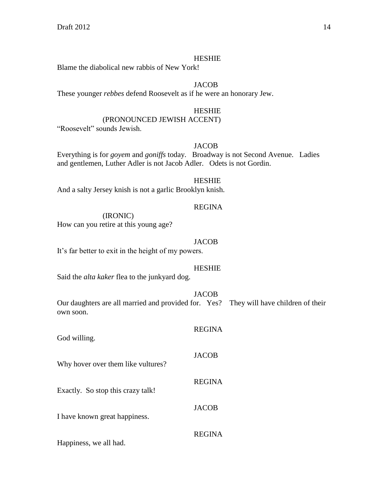Blame the diabolical new rabbis of New York!

# **JACOB**

These younger *rebbes* defend Roosevelt as if he were an honorary Jew.

#### HESHIE

# (PRONOUNCED JEWISH ACCENT)

"Roosevelt" sounds Jewish.

# JACOB

Everything is for *goyem* and *goniffs* today. Broadway is not Second Avenue. Ladies and gentlemen, Luther Adler is not Jacob Adler. Odets is not Gordin.

#### **HESHIE**

And a salty Jersey knish is not a garlic Brooklyn knish.

#### REGINA

(IRONIC) How can you retire at this young age?

#### JACOB

It's far better to exit in the height of my powers.

# HESHIE

Said the *alta kaker* flea to the junkyard dog.

#### JACOB

Our daughters are all married and provided for. Yes? They will have children of their own soon.

| God willing.                       | <b>REGINA</b> |
|------------------------------------|---------------|
| Why hover over them like vultures? | <b>JACOB</b>  |
| Exactly. So stop this crazy talk!  | <b>REGINA</b> |
| I have known great happiness.      | <b>JACOB</b>  |
| Happiness, we all had.             | <b>REGINA</b> |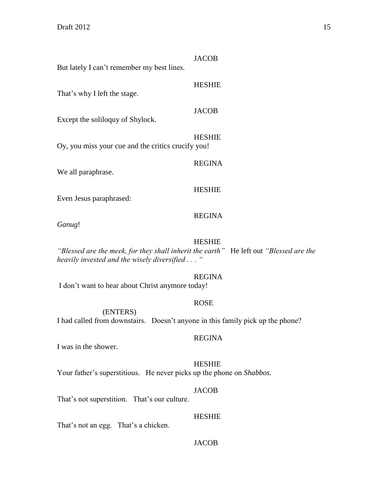| But lately I can't remember my best lines.                                                                                         | <b>JACOB</b>  |
|------------------------------------------------------------------------------------------------------------------------------------|---------------|
| That's why I left the stage.                                                                                                       | <b>HESHIE</b> |
| Except the soliloquy of Shylock.                                                                                                   | <b>JACOB</b>  |
| Oy, you miss your cue and the critics crucify you!                                                                                 | <b>HESHIE</b> |
| We all paraphrase.                                                                                                                 | <b>REGINA</b> |
| Even Jesus paraphrased:                                                                                                            | <b>HESHIE</b> |
| Ganug!                                                                                                                             | <b>REGINA</b> |
| "Blessed are the meek, for they shall inherit the earth" He left out "Blessed are<br>heavily invested and the wisely diversified " | <b>HESHIE</b> |
| I don't want to hear about Christ anymore today!                                                                                   | <b>REGINA</b> |
| (ENTERS)<br>I had called from downstairs. Doesn't anyone in this family pick up the phone?                                         | <b>ROSE</b>   |
| I was in the shower.                                                                                                               | <b>REGINA</b> |
| Your father's superstitious. He never picks up the phone on Shabbos.                                                               | <b>HESHIE</b> |

JACOB

That's not superstition. That's our culture.

HESHIE

That's not an egg. That's a chicken.

JACOB

*"Blessed are the*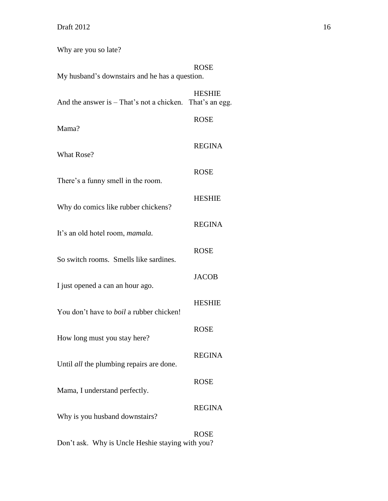Why are you so late?

| My husband's downstairs and he has a question.                                     | <b>ROSE</b>                     |
|------------------------------------------------------------------------------------|---------------------------------|
| And the answer is – That's not a chicken.                                          | <b>HESHIE</b><br>That's an egg. |
| Mama?                                                                              | <b>ROSE</b>                     |
| What Rose?                                                                         | <b>REGINA</b>                   |
| There's a funny smell in the room.                                                 | <b>ROSE</b>                     |
| Why do comics like rubber chickens?                                                | <b>HESHIE</b>                   |
| It's an old hotel room, mamala.                                                    | <b>REGINA</b>                   |
| So switch rooms. Smells like sardines.                                             | <b>ROSE</b>                     |
| I just opened a can an hour ago.                                                   | <b>JACOB</b>                    |
| You don't have to <i>boil</i> a rubber chicken!                                    | <b>HESHIE</b>                   |
| How long must you stay here?                                                       | <b>ROSE</b>                     |
| Until <i>all</i> the plumbing repairs are done.                                    | <b>REGINA</b>                   |
| Mama, I understand perfectly.                                                      | <b>ROSE</b>                     |
|                                                                                    | <b>REGINA</b>                   |
| Why is you husband downstairs?<br>Don't ask. Why is Uncle Heshie staying with you? | <b>ROSE</b>                     |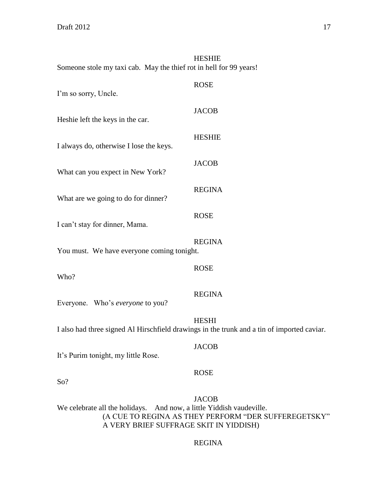HESHIE Someone stole my taxi cab. May the thief rot in hell for 99 years!

| I'm so sorry, Uncle.                       | <b>ROSE</b>                                                                                                |
|--------------------------------------------|------------------------------------------------------------------------------------------------------------|
| Heshie left the keys in the car.           | <b>JACOB</b>                                                                                               |
| I always do, otherwise I lose the keys.    | <b>HESHIE</b>                                                                                              |
| What can you expect in New York?           | <b>JACOB</b>                                                                                               |
| What are we going to do for dinner?        | <b>REGINA</b>                                                                                              |
| I can't stay for dinner, Mama.             | <b>ROSE</b>                                                                                                |
| You must. We have everyone coming tonight. | <b>REGINA</b>                                                                                              |
| Who?                                       | <b>ROSE</b>                                                                                                |
| Everyone. Who's everyone to you?           | <b>REGINA</b>                                                                                              |
|                                            | <b>HESHI</b><br>I also had three signed Al Hirschfield drawings in the trunk and a tin of imported caviar. |

It's Purim tonight, my little Rose.

# ROSE

JACOB

So?

# JACOB We celebrate all the holidays. And now, a little Yiddish vaudeville. (A CUE TO REGINA AS THEY PERFORM "DER SUFFEREGETSKY" A VERY BRIEF SUFFRAGE SKIT IN YIDDISH)

# REGINA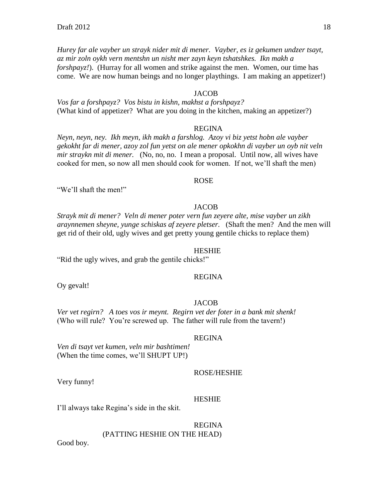*Hurey far ale vayber un strayk nider mit di mener. Vayber, es iz gekumen undzer tsayt, az mir zoln oykh vern mentshn un nisht mer zayn keyn tshatshkes. Ikn makh a forshpayz!*). (Hurray for all women and strike against the men. Women, our time has come. We are now human beings and no longer playthings. I am making an appetizer!)

#### JACOB

*Vos far a forshpayz? Vos bistu in kishn, makhst a forshpayz?* (What kind of appetizer? What are you doing in the kitchen, making an appetizer?)

#### REGINA

*Neyn, neyn, ney. Ikh meyn, ikh makh a farshlog. Azoy vi biz yetst hobn ale vayber gekokht far di mener, azoy zol fun yetst on ale mener opkokhn di vayber un oyb nit veln mir straykn mit di mener.* (No, no, no. I mean a proposal. Until now, all wives have cooked for men, so now all men should cook for women. If not, we'll shaft the men)

#### ROSE

"We'll shaft the men!"

#### **JACOB**

*Strayk mit di mener? Veln di mener poter vern fun zeyere alte, mise vayber un zikh araynnemen sheyne, yunge schiskas af zeyere pletser.* (Shaft the men? And the men will get rid of their old, ugly wives and get pretty young gentile chicks to replace them)

#### HESHIE

"Rid the ugly wives, and grab the gentile chicks!"

# REGINA

Oy gevalt!

# JACOB

*Ver vet regirn? A toes vos ir meynt. Regirn vet der foter in a bank mit shenk!* (Who will rule? You're screwed up. The father will rule from the tavern!)

#### REGINA

*Ven di tsayt vet kumen, veln mir bashtimen!* (When the time comes, we'll SHUPT UP!)

#### ROSE/HESHIE

Very funny!

#### HESHIE

I'll always take Regina's side in the skit.

# REGINA (PATTING HESHIE ON THE HEAD)

Good boy.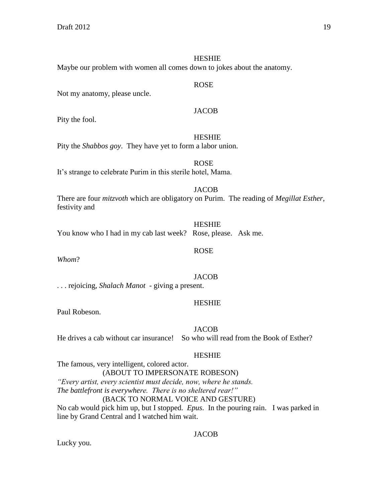Maybe our problem with women all comes down to jokes about the anatomy.

# Not my anatomy, please uncle.

# JACOB

ROSE

Pity the fool.

# **HESHIE**

Pity the *Shabbos goy*. They have yet to form a labor union.

ROSE It's strange to celebrate Purim in this sterile hotel, Mama.

# **JACOB**

There are four *mitzvoth* which are obligatory on Purim. The reading of *Megillat Esther*, festivity and

|                                                               | <b>HESHIE</b> |  |
|---------------------------------------------------------------|---------------|--|
| You know who I had in my cab last week? Rose, please. Ask me. |               |  |

*Whom*?

# JACOB

ROSE

. . . rejoicing, *Shalach Manot* - giving a present.

# HESHIE

Paul Robeson.

# **JACOB**

He drives a cab without car insurance! So who will read from the Book of Esther?

# HESHIE

The famous, very intelligent, colored actor. (ABOUT TO IMPERSONATE ROBESON) *"Every artist, every scientist must decide, now, where he stands. The battlefront is everywhere. There is no sheltered rear!"* (BACK TO NORMAL VOICE AND GESTURE) No cab would pick him up, but I stopped. *Epus*. In the pouring rain. I was parked in line by Grand Central and I watched him wait.

# JACOB

Lucky you.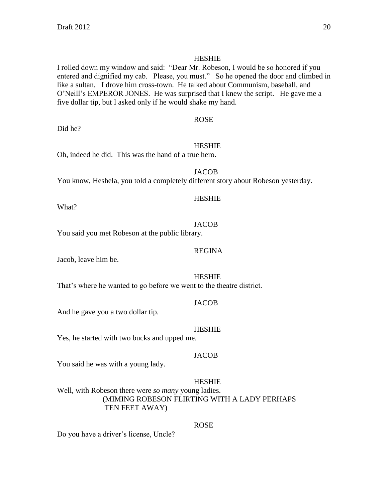I rolled down my window and said: "Dear Mr. Robeson, I would be so honored if you entered and dignified my cab. Please, you must." So he opened the door and climbed in like a sultan. I drove him cross-town. He talked about Communism, baseball, and O'Neill's EMPEROR JONES. He was surprised that I knew the script. He gave me a five dollar tip, but I asked only if he would shake my hand.

#### ROSE

Did he?

# HESHIE

Oh, indeed he did. This was the hand of a true hero.

**JACOB** You know, Heshela, you told a completely different story about Robeson yesterday.

# What?

# **JACOB**

HESHIE

You said you met Robeson at the public library.

Jacob, leave him be.

HESHIE

REGINA

That's where he wanted to go before we went to the theatre district.

# **JACOB**

And he gave you a two dollar tip.

# **HESHIE**

Yes, he started with two bucks and upped me.

# **JACOB**

You said he was with a young lady.

# HESHIE

Well, with Robeson there were *so many* young ladies. (MIMING ROBESON FLIRTING WITH A LADY PERHAPS TEN FEET AWAY)

# ROSE

Do you have a driver's license, Uncle?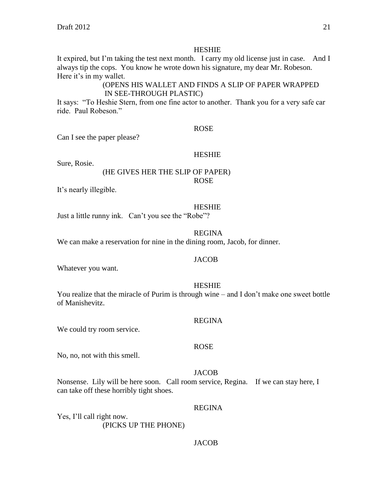It expired, but I'm taking the test next month. I carry my old license just in case. And I always tip the cops. You know he wrote down his signature, my dear Mr. Robeson. Here it's in my wallet.

# (OPENS HIS WALLET AND FINDS A SLIP OF PAPER WRAPPED IN SEE-THROUGH PLASTIC)

It says: "To Heshie Stern, from one fine actor to another. Thank you for a very safe car ride. Paul Robeson."

#### ROSE

Can I see the paper please?

#### HESHIE

Sure, Rosie.

# (HE GIVES HER THE SLIP OF PAPER) ROSE

It's nearly illegible.

#### HESHIE

Just a little runny ink. Can't you see the "Robe"?

#### REGINA

We can make a reservation for nine in the dining room, Jacob, for dinner.

#### **JACOB**

Whatever you want.

#### HESHIE

You realize that the miracle of Purim is through wine – and I don't make one sweet bottle of Manishevitz.

#### REGINA

We could try room service.

#### ROSE

No, no, not with this smell.

#### JACOB

Nonsense. Lily will be here soon. Call room service, Regina. If we can stay here, I can take off these horribly tight shoes.

#### REGINA

Yes, I'll call right now. (PICKS UP THE PHONE)

# JACOB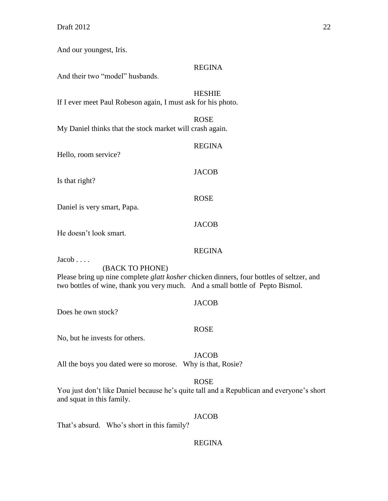And our youngest, Iris.

# REGINA

And their two "model" husbands.

# HESHIE

If I ever meet Paul Robeson again, I must ask for his photo.

ROSE My Daniel thinks that the stock market will crash again.

| Hello, room service?        | <b>REGINA</b> |
|-----------------------------|---------------|
| Is that right?              | <b>JACOB</b>  |
| Daniel is very smart, Papa. | <b>ROSE</b>   |
| He doesn't look smart.      | <b>JACOB</b>  |

# REGINA

Jacob . . . .

(BACK TO PHONE)

Please bring up nine complete *glatt kosher* chicken dinners, four bottles of seltzer, and two bottles of wine, thank you very much. And a small bottle of Pepto Bismol.

Does he own stock?

# ROSE

JACOB

No, but he invests for others.

# JACOB

All the boys you dated were so morose. Why is that, Rosie?

# ROSE

You just don't like Daniel because he's quite tall and a Republican and everyone's short and squat in this family.

# JACOB

That's absurd. Who's short in this family?

# REGINA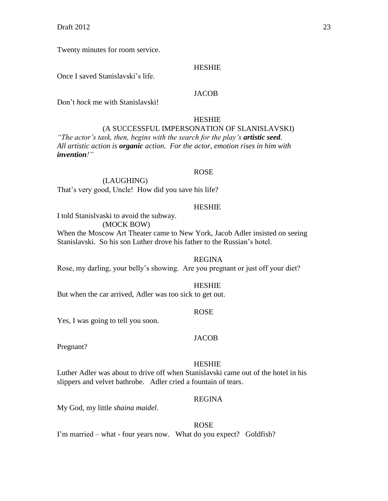Twenty minutes for room service.

#### **HESHIE**

Once I saved Stanislavski's life.

# **JACOB**

Don't *hock* me with Stanislavski!

#### HESHIE (A SUCCESSFUL IMPERSONATION OF SLANISLAVSKI) *"The actor's task, then, begins with the search for the play's artistic seed. All artistic action is organic action. For the actor, emotion rises in him with invention!"*

#### ROSE

(LAUGHING) That's very good, Uncle! How did you save his life?

#### HESHIE

I told Stanislvaski to avoid the subway.

(MOCK BOW)

When the Moscow Art Theater came to New York, Jacob Adler insisted on seeing Stanislavski. So his son Luther drove his father to the Russian's hotel.

#### REGINA

Rose, my darling, your belly's showing. Are you pregnant or just off your diet?

#### HESHIE

But when the car arrived, Adler was too sick to get out.

#### ROSE

Yes, I was going to tell you soon.

#### **JACOB**

Pregnant?

#### HESHIE

Luther Adler was about to drive off when Stanislavski came out of the hotel in his slippers and velvet bathrobe. Adler cried a fountain of tears.

#### REGINA

My God, my little *shaina maidel*.

#### ROSE

I'm married – what - four years now. What do you expect? Goldfish?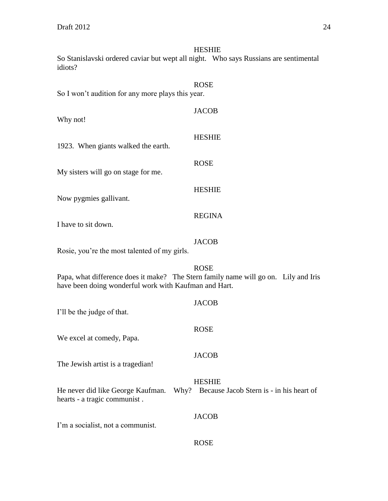So Stanislavski ordered caviar but wept all night. Who says Russians are sentimental idiots?

| So I won't audition for any more plays this year. | <b>ROSE</b>   |
|---------------------------------------------------|---------------|
| Why not!                                          | <b>JACOB</b>  |
| 1923. When giants walked the earth.               | <b>HESHIE</b> |
| My sisters will go on stage for me.               | <b>ROSE</b>   |
| Now pygmies gallivant.                            | <b>HESHIE</b> |
| I have to sit down.                               | <b>REGINA</b> |
|                                                   | JACOB         |

Rosie, you're the most talented of my girls.

ROSE Papa, what difference does it make? The Stern family name will go on. Lily and Iris have been doing wonderful work with Kaufman and Hart.

| I'll be the judge of that.        | <b>JACOB</b>                                                                                     |
|-----------------------------------|--------------------------------------------------------------------------------------------------|
| We excel at comedy, Papa.         | <b>ROSE</b>                                                                                      |
| The Jewish artist is a tragedian! | <b>JACOB</b>                                                                                     |
| hearts - a tragic communist.      | <b>HESHIE</b><br>He never did like George Kaufman. Why? Because Jacob Stern is - in his heart of |
| I'm a socialist, not a communist. | <b>JACOB</b>                                                                                     |

ROSE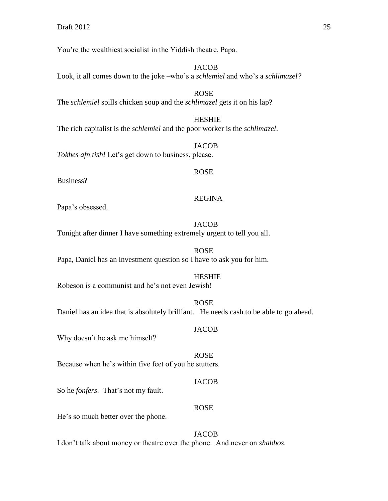You're the wealthiest socialist in the Yiddish theatre, Papa.

**JACOB** Look, it all comes down to the joke –who's a *schlemiel* and who's a *schlimazel?*

ROSE The *schlemiel* spills chicken soup and the *schlimazel* gets it on his lap?

HESHIE The rich capitalist is the *schlemiel* and the poor worker is the *schlimazel*.

JACOB *Tokhes afn tish!* Let's get down to business, please.

Business?

#### REGINA

ROSE

Papa's obsessed.

# **JACOB**

Tonight after dinner I have something extremely urgent to tell you all.

ROSE Papa, Daniel has an investment question so I have to ask you for him.

#### HESHIE

Robeson is a communist and he's not even Jewish!

ROSE Daniel has an idea that is absolutely brilliant. He needs cash to be able to go ahead.

#### JACOB

ROSE

Why doesn't he ask me himself?

Because when he's within five feet of you he stutters.

# JACOB

So he *fonfers*. That's not my fault.

# ROSE

He's so much better over the phone.

JACOB I don't talk about money or theatre over the phone. And never on *shabbos*.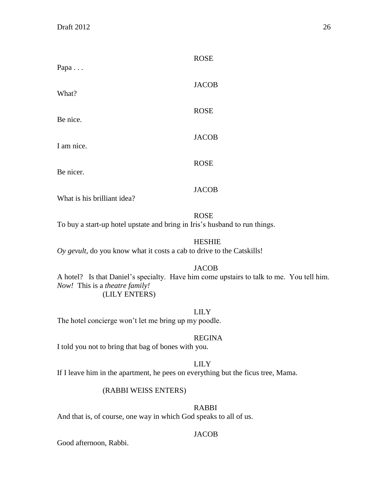| Papa                        | <b>ROSE</b>  |
|-----------------------------|--------------|
| What?                       | <b>JACOB</b> |
| Be nice.                    | <b>ROSE</b>  |
| I am nice.                  | <b>JACOB</b> |
| Be nicer.                   | <b>ROSE</b>  |
| What is his brilliant idea? | <b>JACOB</b> |

# ROSE

To buy a start-up hotel upstate and bring in Iris's husband to run things.

# HESHIE

*Oy gevult,* do you know what it costs a cab to drive to the Catskills!

# JACOB

A hotel? Is that Daniel's specialty. Have him come upstairs to talk to me. You tell him. *Now!* This is a *theatre family!* (LILY ENTERS)

# LILY

The hotel concierge won't let me bring up my poodle.

# REGINA

I told you not to bring that bag of bones with you.

# LILY

If I leave him in the apartment, he pees on everything but the ficus tree, Mama.

# (RABBI WEISS ENTERS)

# RABBI

And that is, of course, one way in which God speaks to all of us.

# JACOB

Good afternoon, Rabbi.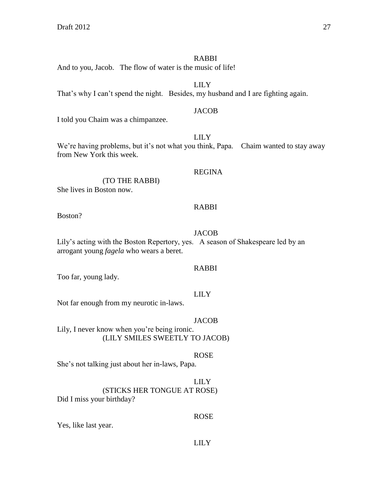#### RABBI

And to you, Jacob. The flow of water is the music of life!

LILY That's why I can't spend the night. Besides, my husband and I are fighting again.

#### **JACOB**

I told you Chaim was a chimpanzee.

# LILY

We're having problems, but it's not what you think, Papa. Chaim wanted to stay away from New York this week.

#### REGINA

(TO THE RABBI)

She lives in Boston now.

#### RABBI

Boston?

# JACOB

Lily's acting with the Boston Repertory, yes. A season of Shakespeare led by an arrogant young *fagela* who wears a beret.

# RABBI

Too far, young lady.

# LILY

Not far enough from my neurotic in-laws.

# JACOB

Lily, I never know when you're being ironic. (LILY SMILES SWEETLY TO JACOB)

# ROSE

She's not talking just about her in-laws, Papa.

# LILY

(STICKS HER TONGUE AT ROSE)

# Did I miss your birthday?

# ROSE

Yes, like last year.

# LILY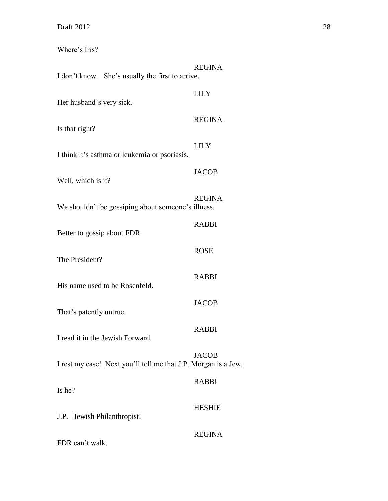Where's Iris?

| I don't know. She's usually the first to arrive.               | <b>REGINA</b> |
|----------------------------------------------------------------|---------------|
| Her husband's very sick.                                       | <b>LILY</b>   |
| Is that right?                                                 | <b>REGINA</b> |
| I think it's asthma or leukemia or psoriasis.                  | <b>LILY</b>   |
| Well, which is it?                                             | <b>JACOB</b>  |
| We shouldn't be gossiping about someone's illness.             | <b>REGINA</b> |
| Better to gossip about FDR.                                    | <b>RABBI</b>  |
| The President?                                                 | <b>ROSE</b>   |
| His name used to be Rosenfeld.                                 | <b>RABBI</b>  |
| That's patently untrue.                                        | <b>JACOB</b>  |
| I read it in the Jewish Forward.                               | <b>RABBI</b>  |
| I rest my case! Next you'll tell me that J.P. Morgan is a Jew. | <b>JACOB</b>  |
| Is he?                                                         | <b>RABBI</b>  |
| J.P. Jewish Philanthropist!                                    | <b>HESHIE</b> |
| FDR can't walk.                                                | <b>REGINA</b> |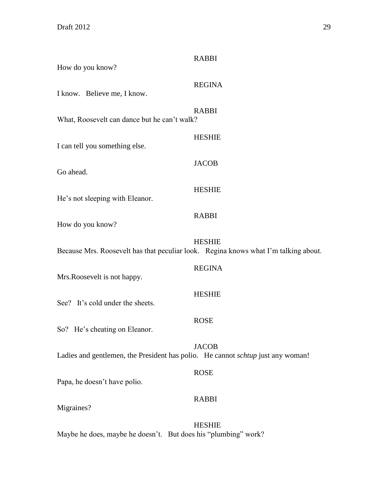| How do you know?                                                                    | <b>RABBI</b>  |
|-------------------------------------------------------------------------------------|---------------|
| I know. Believe me, I know.                                                         | <b>REGINA</b> |
| What, Roosevelt can dance but he can't walk?                                        | <b>RABBI</b>  |
| I can tell you something else.                                                      | <b>HESHIE</b> |
| Go ahead.                                                                           | <b>JACOB</b>  |
| He's not sleeping with Eleanor.                                                     | <b>HESHIE</b> |
| How do you know?                                                                    | <b>RABBI</b>  |
| Because Mrs. Roosevelt has that peculiar look. Regina knows what I'm talking about. | <b>HESHIE</b> |
| Mrs.Roosevelt is not happy.                                                         | <b>REGINA</b> |
| See? It's cold under the sheets.                                                    | <b>HESHIE</b> |
| So? He's cheating on Eleanor.                                                       | <b>ROSE</b>   |
| Ladies and gentlemen, the President has polio. He cannot schtup just any woman!     | <b>JACOB</b>  |
| Papa, he doesn't have polio.                                                        | <b>ROSE</b>   |
| Migraines?                                                                          | <b>RABBI</b>  |
| Maybe he does, maybe he doesn't. But does his "plumbing" work?                      | <b>HESHIE</b> |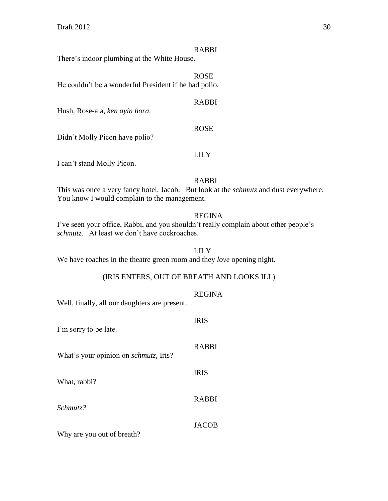# RABBI

RABBI

ROSE

There's indoor plumbing at the White House.

ROSE He couldn't be a wonderful President if he had polio.

Hush, Rose-ala*, ken ayin hora.*

Didn't Molly Picon have polio?

# LILY

I can't stand Molly Picon.

# RABBI

This was once a very fancy hotel, Jacob. But look at the *schmutz* and dust everywhere. You know I would complain to the management.

# REGINA

I've seen your office, Rabbi, and you shouldn't really complain about other people's *schmutz.* At least we don't have cockroaches.

# LILY

We have roaches in the theatre green room and they *love* opening night.

# (IRIS ENTERS, OUT OF BREATH AND LOOKS ILL)

# REGINA

Well, finally, all our daughters are present.

| I'm sorry to be late.                         | <b>IRIS</b>  |
|-----------------------------------------------|--------------|
| What's your opinion on <i>schmutz</i> , Iris? | <b>RABBI</b> |
| What, rabbi?                                  | <b>IRIS</b>  |
| Schmutz?                                      | <b>RABBI</b> |
| Why are you out of breath?                    | <b>JACOB</b> |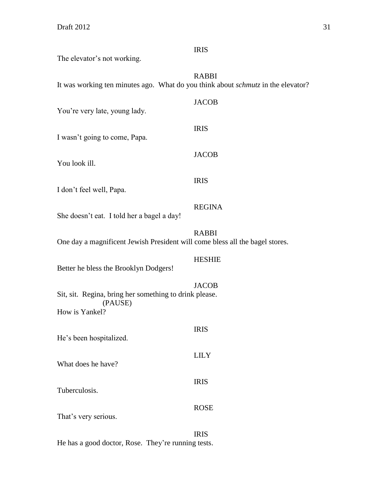| The elevator's not working.                                                                                                  | <b>IRIS</b>   |
|------------------------------------------------------------------------------------------------------------------------------|---------------|
| It was working ten minutes ago. What do you think about schmutz in the elevator?                                             | <b>RABBI</b>  |
| You're very late, young lady.                                                                                                | <b>JACOB</b>  |
| I wasn't going to come, Papa.                                                                                                | <b>IRIS</b>   |
| You look ill.                                                                                                                | <b>JACOB</b>  |
| I don't feel well, Papa.                                                                                                     | <b>IRIS</b>   |
| She doesn't eat. I told her a bagel a day!                                                                                   | <b>REGINA</b> |
| One day a magnificent Jewish President will come bless all the bagel stores.                                                 | <b>RABBI</b>  |
|                                                                                                                              | <b>HESHIE</b> |
| Better he bless the Brooklyn Dodgers!<br>Sit, sit. Regina, bring her something to drink please.<br>(PAUSE)<br>How is Yankel? | <b>JACOB</b>  |
| He's been hospitalized.                                                                                                      | <b>IRIS</b>   |
| What does he have?                                                                                                           | <b>LILY</b>   |
| Tuberculosis.                                                                                                                | <b>IRIS</b>   |
| That's very serious.                                                                                                         | <b>ROSE</b>   |
|                                                                                                                              | <b>IRIS</b>   |

He has a good doctor, Rose. They're running tests.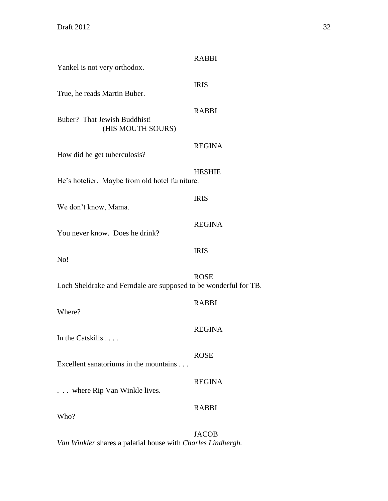| Yankel is not very orthodox.                                     | <b>RABBI</b>  |
|------------------------------------------------------------------|---------------|
| True, he reads Martin Buber.                                     | <b>IRIS</b>   |
| Buber? That Jewish Buddhist!<br>(HIS MOUTH SOURS)                | <b>RABBI</b>  |
| How did he get tuberculosis?                                     | <b>REGINA</b> |
| He's hotelier. Maybe from old hotel furniture.                   | <b>HESHIE</b> |
| We don't know, Mama.                                             | <b>IRIS</b>   |
| You never know. Does he drink?                                   | <b>REGINA</b> |
| No!                                                              | <b>IRIS</b>   |
| Loch Sheldrake and Ferndale are supposed to be wonderful for TB. | <b>ROSE</b>   |
| Where?                                                           | <b>RABBI</b>  |
| In the Catskills                                                 | <b>REGINA</b> |
| Excellent sanatoriums in the mountains                           | <b>ROSE</b>   |
| . where Rip Van Winkle lives.                                    | <b>REGINA</b> |
| Who?                                                             | <b>RABBI</b>  |
|                                                                  | <b>JACOB</b>  |

*Van Winkler* shares a palatial house with *Charles Lindbergh.*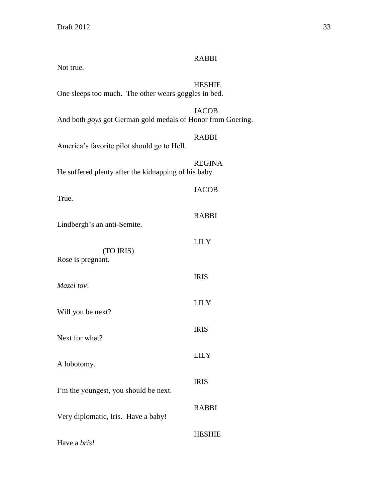| Not true.                                                   |               |
|-------------------------------------------------------------|---------------|
| One sleeps too much. The other wears goggles in bed.        | <b>HESHIE</b> |
| And both goys got German gold medals of Honor from Goering. | <b>JACOB</b>  |
| America's favorite pilot should go to Hell.                 | <b>RABBI</b>  |
| He suffered plenty after the kidnapping of his baby.        | <b>REGINA</b> |
| True.                                                       | <b>JACOB</b>  |
| Lindbergh's an anti-Semite.                                 | <b>RABBI</b>  |
| (TO IRIS)                                                   | <b>LILY</b>   |
| Rose is pregnant.                                           |               |
| Mazel tov!                                                  | <b>IRIS</b>   |
| Will you be next?                                           | <b>LILY</b>   |
| Next for what?                                              | <b>IRIS</b>   |
| A lobotomy.                                                 | <b>LILY</b>   |
| I'm the youngest, you should be next.                       | <b>IRIS</b>   |
| Very diplomatic, Iris. Have a baby!                         | <b>RABBI</b>  |
| Have a bris!                                                | <b>HESHIE</b> |

RABBI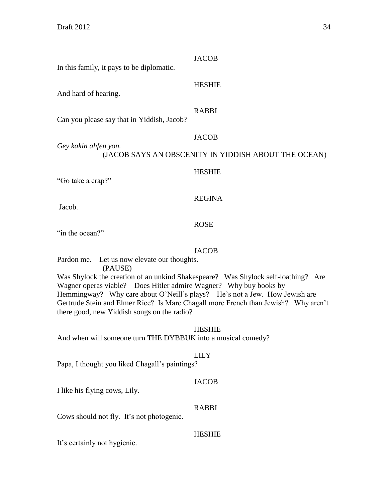| In this family, it pays to be diplomatic.  | <b>JACOB</b>                                                         |
|--------------------------------------------|----------------------------------------------------------------------|
| And hard of hearing.                       | <b>HESHIE</b>                                                        |
| Can you please say that in Yiddish, Jacob? | <b>RABBI</b>                                                         |
| Gey kakin ahfen yon.                       | <b>JACOB</b><br>(JACOB SAYS AN OBSCENITY IN YIDDISH ABOUT THE OCEAN) |
| "Go take a crap?"                          | <b>HESHIE</b>                                                        |
| Jacob.                                     | <b>REGINA</b>                                                        |
|                                            |                                                                      |

ROSE

"in the ocean?"

#### JACOB

Pardon me. Let us now elevate our thoughts.

(PAUSE)

Was Shylock the creation of an unkind Shakespeare? Was Shylock self-loathing? Are Wagner operas viable? Does Hitler admire Wagner? Why buy books by Hemmingway? Why care about O'Neill's plays? He's not a Jew. How Jewish are Gertrude Stein and Elmer Rice? Is Marc Chagall more French than Jewish? Why aren't there good, new Yiddish songs on the radio?

**HESHIE** 

And when will someone turn THE DYBBUK into a musical comedy?

# LILY

Papa, I thought you liked Chagall's paintings?

#### JACOB

I like his flying cows, Lily.

# RABBI

Cows should not fly. It's not photogenic.

#### HESHIE

It's certainly not hygienic.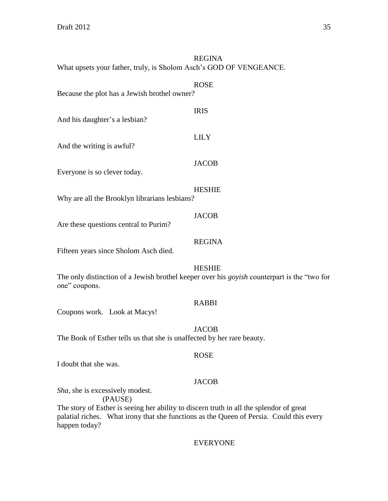#### REGINA What upsets your father, truly, is Sholom Asch's GOD OF VENGEANCE.

ROSE Because the plot has a Jewish brothel owner? IRIS And his daughter's a lesbian? LILY And the writing is awful? JACOB Everyone is so clever today. HESHIE Why are all the Brooklyn librarians lesbians? **JACOB** Are these questions central to Purim? REGINA Fifteen years since Sholom Asch died. HESHIE The only distinction of a Jewish brothel keeper over his *goyish* counterpart is the "two for one" coupons. RABBI Coupons work. Look at Macys! **JACOB** 

The Book of Esther tells us that she is unaffected by her rare beauty.

# ROSE

I doubt that she was.

#### JACOB

*Sha*, she is excessively modest.

(PAUSE)

The story of Esther is seeing her ability to discern truth in all the splendor of great palatial riches. What irony that she functions as the Queen of Persia. Could this every happen today?

#### EVERYONE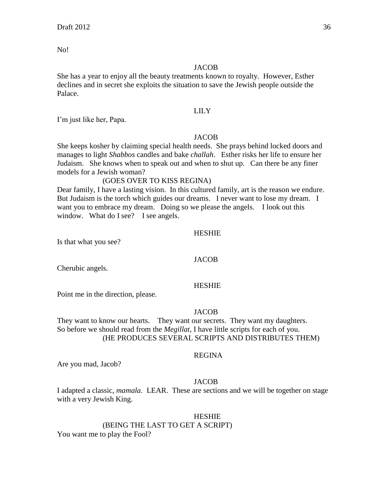No!

#### **JACOB**

She has a year to enjoy all the beauty treatments known to royalty. However, Esther declines and in secret she exploits the situation to save the Jewish people outside the Palace.

#### LILY

I'm just like her, Papa.

#### **JACOB**

She keeps kosher by claiming special health needs. She prays behind locked doors and manages to light *Shabbos* candles and bake *challah*. Esther risks her life to ensure her Judaism. She knows when to speak out and when to shut up. Can there be any finer models for a Jewish woman?

# (GOES OVER TO KISS REGINA)

Dear family, I have a lasting vision. In this cultured family, art is the reason we endure. But Judaism is the torch which guides our dreams. I never want to lose my dream. I want you to embrace my dream. Doing so we please the angels. I look out this window. What do I see? I see angels.

#### HESHIE

Is that what you see?

#### **JACOB**

Cherubic angels.

# HESHIE

Point me in the direction, please.

#### JACOB

They want to know our hearts. They want our secrets. They want my daughters. So before we should read from the *Megillat,* I have little scripts for each of you. (HE PRODUCES SEVERAL SCRIPTS AND DISTRIBUTES THEM)

#### REGINA

Are you mad, Jacob?

#### JACOB

I adapted a classic, *mamala*. LEAR. These are sections and we will be together on stage with a very Jewish King.

#### HESHIE

# (BEING THE LAST TO GET A SCRIPT)

You want me to play the Fool?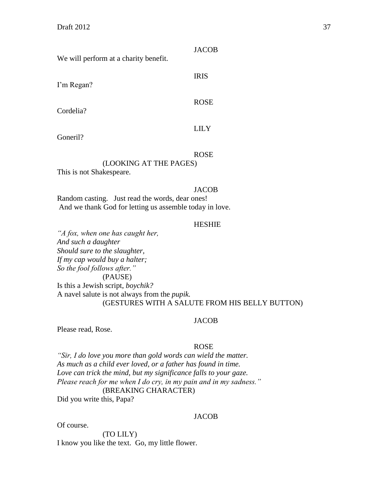We will perform at a charity benefit.

I'm Regan?

Cordelia?

LILY

Goneril?

#### ROSE

# (LOOKING AT THE PAGES)

This is not Shakespeare.

#### **JACOB**

Random casting. Just read the words, dear ones! And we thank God for letting us assemble today in love.

#### **HESHIE**

*"A fox, when one has caught her, And such a daughter Should sure to the slaughter, If my cap would buy a halter; So the fool follows after."* (PAUSE) Is this a Jewish script, *boychik?* A navel salute is not always from the *pupik.* (GESTURES WITH A SALUTE FROM HIS BELLY BUTTON)

#### JACOB

Please read, Rose.

#### ROSE

*"Sir, I do love you more than gold words can wield the matter. As much as a child ever loved, or a father has found in time. Love can trick the mind, but my significance falls to your gaze. Please reach for me when I do cry, in my pain and in my sadness."* (BREAKING CHARACTER)

Did you write this, Papa?

#### **JACOB**

Of course.

(TO LILY) I know you like the text. Go, my little flower.

**JACOB** 

IRIS

ROSE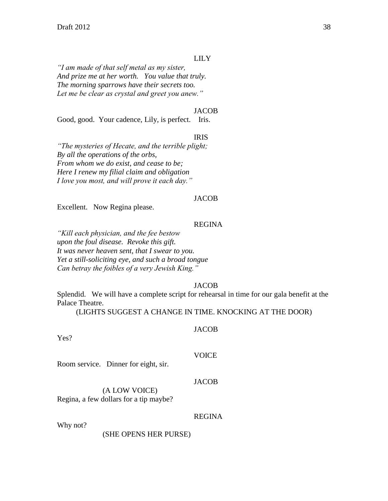#### LILY

*"I am made of that self metal as my sister, And prize me at her worth. You value that truly. The morning sparrows have their secrets too. Let me be clear as crystal and greet you anew."*

#### JACOB

Good, good. Your cadence, Lily, is perfect. Iris.

#### IRIS

*"The mysteries of Hecate, and the terrible plight; By all the operations of the orbs, From whom we do exist, and cease to be; Here I renew my filial claim and obligation I love you most, and will prove it each day."*

#### **JACOB**

Excellent. Now Regina please.

#### REGINA

*"Kill each physician, and the fee bestow upon the foul disease. Revoke this gift. It was never heaven sent, that I swear to you. Yet a still-soliciting eye, and such a broad tongue Can betray the foibles of a very Jewish King."*

#### **JACOB**

Splendid. We will have a complete script for rehearsal in time for our gala benefit at the Palace Theatre.

(LIGHTS SUGGEST A CHANGE IN TIME. KNOCKING AT THE DOOR)

#### **JACOB**

Yes?

Room service. Dinner for eight, sir.

#### JACOB

**VOICE** 

# (A LOW VOICE)

Regina, a few dollars for a tip maybe?

#### REGINA

Why not?

(SHE OPENS HER PURSE)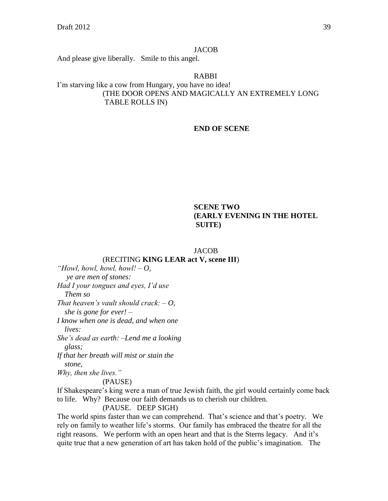#### **JACOB**

And please give liberally. Smile to this angel.

RABBI I'm starving like a cow from Hungary, you have no idea! (THE DOOR OPENS AND MAGICALLY AN EXTREMELY LONG TABLE ROLLS IN)

#### **END OF SCENE**

## **SCENE TWO (EARLY EVENING IN THE HOTEL SUITE)**

#### JACOB

#### (RECITING **KING LEAR act V, scene III**)

*"Howl, howl, howl, howl! – O, ye are men of stones: Had I your tongues and eyes, I'd use Them so That heaven's vault should crack: – O, she is gone for ever! – I know when one is dead, and when one lives: She's dead as earth: –Lend me a looking glass; If that her breath will mist or stain the stone, Why, then she lives."*

#### (PAUSE)

If Shakespeare's king were a man of true Jewish faith, the girl would certainly come back to life. Why? Because our faith demands us to cherish our children.

#### (PAUSE. DEEP SIGH)

The world spins faster than we can comprehend. That's science and that's poetry. We rely on family to weather life's storms. Our family has embraced the theatre for all the right reasons. We perform with an open heart and that is the Sterns legacy. And it's quite true that a new generation of art has taken hold of the public's imagination. The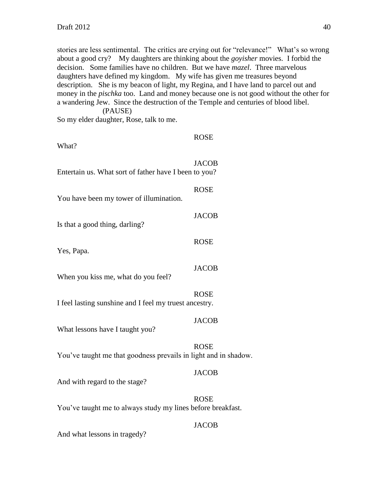stories are less sentimental. The critics are crying out for "relevance!" What's so wrong about a good cry? My daughters are thinking about the *goyisher* movies. I forbid the decision. Some families have no children. But we have *mazel*. Three marvelous daughters have defined my kingdom. My wife has given me treasures beyond description. She is my beacon of light, my Regina, and I have land to parcel out and money in the *pischka* too. Land and money because one is not good without the other for a wandering Jew. Since the destruction of the Temple and centuries of blood libel. (PAUSE)

So my elder daughter, Rose, talk to me.

| What?                                                           | <b>ROSE</b>  |
|-----------------------------------------------------------------|--------------|
| Entertain us. What sort of father have I been to you?           | <b>JACOB</b> |
| You have been my tower of illumination.                         | <b>ROSE</b>  |
| Is that a good thing, darling?                                  | <b>JACOB</b> |
| Yes, Papa.                                                      | <b>ROSE</b>  |
| When you kiss me, what do you feel?                             | <b>JACOB</b> |
| I feel lasting sunshine and I feel my truest ancestry.          | <b>ROSE</b>  |
| What lessons have I taught you?                                 | <b>JACOB</b> |
| You've taught me that goodness prevails in light and in shadow. | <b>ROSE</b>  |
| And with regard to the stage?                                   | <b>JACOB</b> |
| You've taught me to always study my lines before breakfast.     | <b>ROSE</b>  |
|                                                                 | <b>JACOB</b> |

And what lessons in tragedy?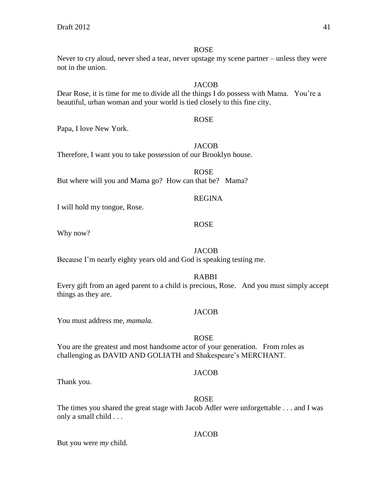#### ROSE

Never to cry aloud, never shed a tear, never upstage my scene partner – unless they were not in the union.

#### **JACOB**

Dear Rose, it is time for me to divide all the things I do possess with Mama. You're a beautiful, urban woman and your world is tied closely to this fine city.

Papa, I love New York.

#### **JACOB**

ROSE

Therefore, I want you to take possession of our Brooklyn house.

ROSE But where will you and Mama go? How can that be? Mama?

# REGINA

I will hold my tongue, Rose.

#### ROSE

Why now?

# **JACOB**

Because I'm nearly eighty years old and God is speaking testing me.

RABBI

Every gift from an aged parent to a child is precious, Rose. And you must simply accept things as they are.

#### **JACOB**

You must address me, *mamala.*

#### ROSE

You are the greatest and most handsome actor of your generation. From roles as challenging as DAVID AND GOLIATH and Shakespeare's MERCHANT.

#### **JACOB**

Thank you.

#### ROSE

The times you shared the great stage with Jacob Adler were unforgettable . . . and I was only a small child . . .

#### JACOB

But you were *my* child.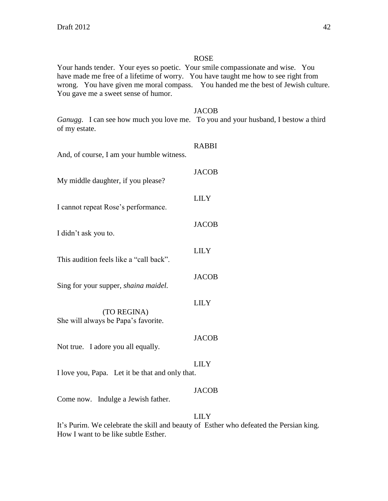#### ROSE

Your hands tender. Your eyes so poetic. Your smile compassionate and wise. You have made me free of a lifetime of worry. You have taught me how to see right from wrong. You have given me moral compass. You handed me the best of Jewish culture. You gave me a sweet sense of humor.

#### JACOB

*Ganugg*. I can see how much you love me. To you and your husband, I bestow a third of my estate.

| And, of course, I am your humble witness.          | <b>RABBI</b> |
|----------------------------------------------------|--------------|
| My middle daughter, if you please?                 | <b>JACOB</b> |
| I cannot repeat Rose's performance.                | <b>LILY</b>  |
| I didn't ask you to.                               | <b>JACOB</b> |
| This audition feels like a "call back".            | <b>LILY</b>  |
| Sing for your supper, <i>shaina maidel</i> .       | <b>JACOB</b> |
| (TO REGINA)<br>She will always be Papa's favorite. | <b>LILY</b>  |
| Not true. I adore you all equally.                 | <b>JACOB</b> |
| I love you, Papa. Let it be that and only that.    | <b>LILY</b>  |
| Come now. Indulge a Jewish father.                 | <b>JACOB</b> |
|                                                    | LILY.        |

It's Purim. We celebrate the skill and beauty of Esther who defeated the Persian king. How I want to be like subtle Esther.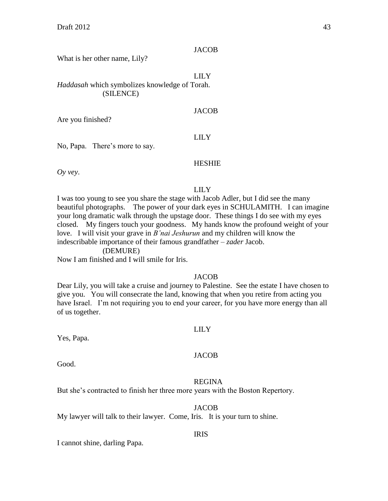#### **JACOB**

What is her other name, Lily?

#### LILY

*Haddasah* which symbolizes knowledge of Torah. (SILENCE)

#### JACOB

Are you finished?

#### LILY

No, Papa. There's more to say.

# HESHIE

*Oy vey*.

#### LILY

I was too young to see you share the stage with Jacob Adler, but I did see the many beautiful photographs. The power of your dark eyes in SCHULAMITH. I can imagine your long dramatic walk through the upstage door. These things I do see with my eyes closed. My fingers touch your goodness. My hands know the profound weight of your love. I will visit your grave in *B'nai Jeshurun* and my children will know the indescribable importance of their famous grandfather – *zader* Jacob.

(DEMURE)

Now I am finished and I will smile for Iris.

#### JACOB

Dear Lily, you will take a cruise and journey to Palestine. See the estate I have chosen to give you. You will consecrate the land, knowing that when you retire from acting you have Israel. I'm not requiring you to end your career, for you have more energy than all of us together.

#### LILY

Yes, Papa.

#### **JACOB**

Good.

#### REGINA

But she's contracted to finish her three more years with the Boston Repertory.

#### JACOB

My lawyer will talk to their lawyer. Come, Iris. It is your turn to shine.

#### IRIS

I cannot shine, darling Papa.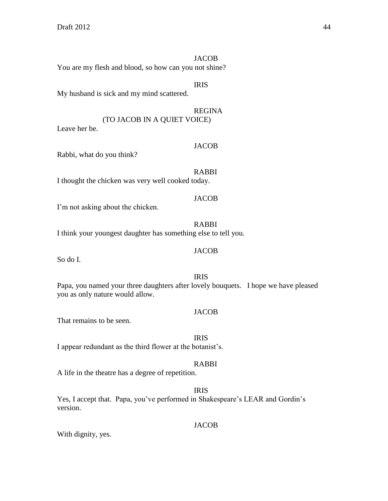**JACOB** You are my flesh and blood, so how can you not shine?

# IRIS

My husband is sick and my mind scattered.

REGINA (TO JACOB IN A QUIET VOICE)

Leave her be.

#### JACOB

Rabbi, what do you think?

RABBI I thought the chicken was very well cooked today.

## **JACOB**

I'm not asking about the chicken.

RABBI I think your youngest daughter has something else to tell you.

# JACOB

So do I.

# IRIS

Papa, you named your three daughters after lovely bouquets. I hope we have pleased you as only nature would allow.

## **JACOB**

That remains to be seen.

# IRIS

I appear redundant as the third flower at the botanist's.

# RABBI

A life in the theatre has a degree of repetition.

# IRIS

Yes, I accept that. Papa, you've performed in Shakespeare's LEAR and Gordin's version.

**JACOB** 

With dignity, yes.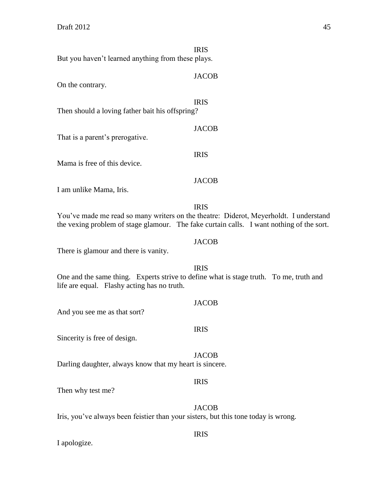I apologize.

IRIS But you haven't learned anything from these plays. JACOB On the contrary. IRIS Then should a loving father bait his offspring? JACOB That is a parent's prerogative. IRIS Mama is free of this device. **JACOB** I am unlike Mama, Iris. IRIS You've made me read so many writers on the theatre: Diderot, Meyerholdt. I understand the vexing problem of stage glamour. The fake curtain calls. I want nothing of the sort. **JACOB** There is glamour and there is vanity. IRIS One and the same thing. Experts strive to define what is stage truth. To me, truth and life are equal. Flashy acting has no truth. JACOB And you see me as that sort? IRIS Sincerity is free of design. JACOB Darling daughter, always know that my heart is sincere. IRIS Then why test me? **JACOB** Iris, you've always been feistier than your sisters, but this tone today is wrong.

IRIS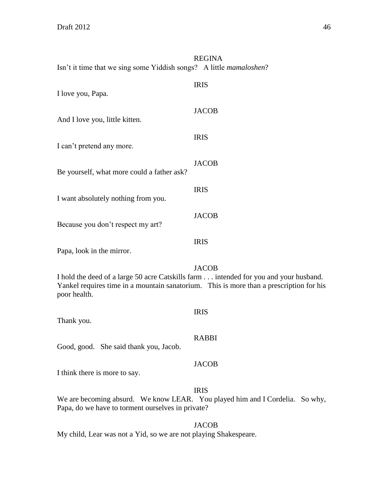| Isn't it time that we sing some Yiddish songs? A little <i>mamaloshen</i> ?                          | <b>REGINA</b>                                                                                           |
|------------------------------------------------------------------------------------------------------|---------------------------------------------------------------------------------------------------------|
| I love you, Papa.                                                                                    | <b>IRIS</b>                                                                                             |
| And I love you, little kitten.                                                                       | <b>JACOB</b>                                                                                            |
| I can't pretend any more.                                                                            | <b>IRIS</b>                                                                                             |
| Be yourself, what more could a father ask?                                                           | <b>JACOB</b>                                                                                            |
| I want absolutely nothing from you.                                                                  | <b>IRIS</b>                                                                                             |
| Because you don't respect my art?                                                                    | <b>JACOB</b>                                                                                            |
| Papa, look in the mirror.                                                                            | <b>IRIS</b>                                                                                             |
| I hold the deed of a large 50 acre Catskills farm intended for you and your husband.<br>poor health. | <b>JACOB</b><br>Yankel requires time in a mountain sanatorium. This is more than a prescription for his |
| Thank you.                                                                                           | <b>IRIS</b>                                                                                             |
| Good, good. She said thank you, Jacob.                                                               | <b>RABBI</b>                                                                                            |
| I think there is more to say.                                                                        | <b>JACOB</b>                                                                                            |
| Papa, do we have to torment ourselves in private?                                                    | <b>IRIS</b><br>We are becoming absurd. We know LEAR. You played him and I Cordelia. So why,             |
|                                                                                                      | <b>JACOB</b>                                                                                            |

My child, Lear was not a Yid, so we are not playing Shakespeare.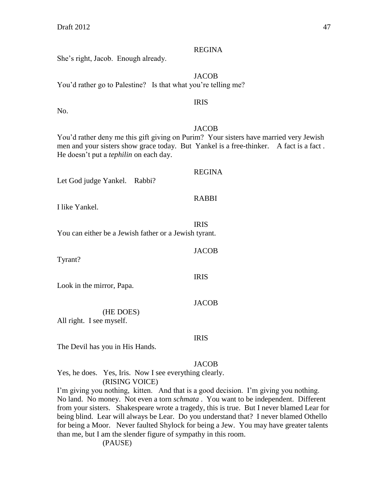No.

She's right, Jacob. Enough already.

JACOB You'd rather go to Palestine? Is that what you're telling me? IRIS JACOB You'd rather deny me this gift giving on Purim? Your sisters have married very Jewish men and your sisters show grace today. But Yankel is a free-thinker. A fact is a fact . He doesn't put a *tephilin* on each day. REGINA Let God judge Yankel. Rabbi? RABBI

I like Yankel.

IRIS You can either be a Jewish father or a Jewish tyrant.

Tyrant?

Look in the mirror, Papa.

(HE DOES)

All right. I see myself.

The Devil has you in His Hands.

**JACOB** 

IRIS

Yes, he does. Yes, Iris. Now I see everything clearly. (RISING VOICE)

I'm giving you nothing, kitten. And that is a good decision. I'm giving you nothing. No land. No money. Not even a torn *schmata* . You want to be independent. Different from your sisters. Shakespeare wrote a tragedy, this is true. But I never blamed Lear for being blind. Lear will always be Lear. Do you understand that? I never blamed Othello for being a Moor. Never faulted Shylock for being a Jew. You may have greater talents than me, but I am the slender figure of sympathy in this room.

(PAUSE)

#### REGINA

JACOB

IRIS

JACOB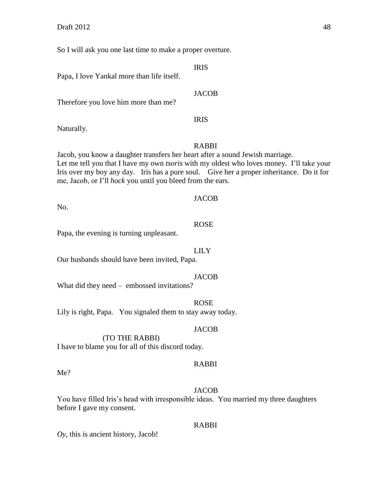So I will ask you one last time to make a proper overture.

IRIS

Papa, I love Yankal more than life itself.

Therefore you love him more than me?

Naturally.

#### RABBI

IRIS

**JACOB** 

Jacob, you know a daughter transfers her heart after a sound Jewish marriage. Let me tell you that I have my own *tsoris* with my oldest who loves money. I'll take your Iris over my boy any day. Iris has a pure soul. Give her a proper inheritance. Do it for me, Jacob, or I'll *hock* you until you bleed from the ears.

#### **JACOB**

No.

#### ROSE

Papa, the evening is turning unpleasant.

#### LILY

Our husbands should have been invited, Papa.

#### JACOB

What did they need – embossed invitations?

#### ROSE

Lily is right, Papa. You signaled them to stay away today.

#### **JACOB**

(TO THE RABBI)

I have to blame you for all of this discord today.

#### RABBI

Me?

#### **JACOB**

You have filled Iris's head with irresponsible ideas. You married my three daughters before I gave my consent.

#### RABBI

*Oy*, this is ancient history, Jacob!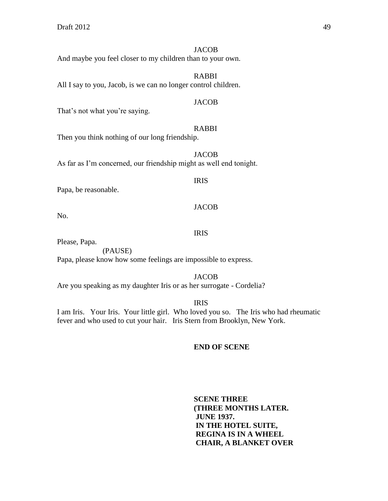#### **JACOB**

And maybe you feel closer to my children than to your own.

RABBI

All I say to you, Jacob, is we can no longer control children.

#### **JACOB**

That's not what you're saying.

#### RABBI

Then you think nothing of our long friendship.

**JACOB** As far as I'm concerned, our friendship might as well end tonight.

#### IRIS

Papa, be reasonable.

#### JACOB

No.

#### IRIS

Please, Papa.

(PAUSE)

Papa, please know how some feelings are impossible to express.

Are you speaking as my daughter Iris or as her surrogate - Cordelia?

IRIS

JACOB

I am Iris. Your Iris. Your little girl. Who loved you so. The Iris who had rheumatic fever and who used to cut your hair. Iris Stern from Brooklyn, New York.

#### **END OF SCENE**

**SCENE THREE (THREE MONTHS LATER. JUNE 1937. IN THE HOTEL SUITE, REGINA IS IN A WHEEL CHAIR, A BLANKET OVER**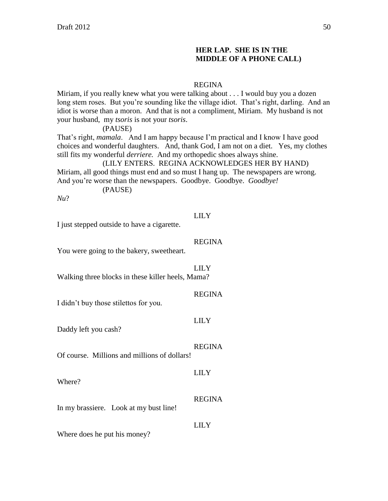# **HER LAP. SHE IS IN THE MIDDLE OF A PHONE CALL)**

#### REGINA

Miriam, if you really knew what you were talking about . . . I would buy you a dozen long stem roses. But you're sounding like the village idiot. That's right, darling. And an idiot is worse than a moron. And that is not a compliment, Miriam. My husband is not your husband, my *tsoris* is not your *tsoris*.

(PAUSE)

That's right, *mamala*. And I am happy because I'm practical and I know I have good choices and wonderful daughters. And, thank God, I am not on a diet. Yes, my clothes still fits my wonderful *derriere.* And my orthopedic shoes always shine.

(LILY ENTERS. REGINA ACKNOWLEDGES HER BY HAND) Miriam, all good things must end and so must I hang up. The newspapers are wrong. And you're worse than the newspapers. Goodbye. Goodbye. *Goodbye!*

(PAUSE)

*Nu*?

#### LILY

I just stepped outside to have a cigarette.

#### REGINA

You were going to the bakery, sweetheart.

#### LILY

Walking three blocks in these killer heels, Mama?

I didn't buy those stilettos for you.

# LILY

Daddy left you cash?

# REGINA

Of course. Millions and millions of dollars!

Where?

In my brassiere. Look at my bust line!

Where does he put his money?

REGINA

LILY

LILY

REGINA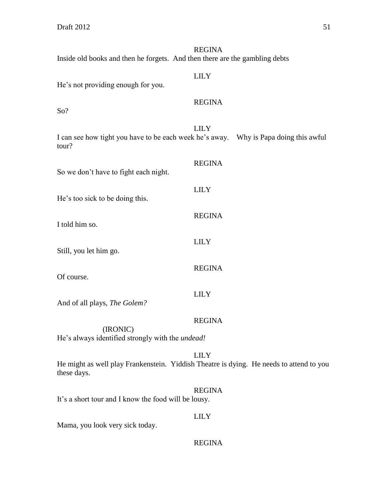REGINA Inside old books and then he forgets. And then there are the gambling debts LILY He's not providing enough for you. REGINA So? LILY I can see how tight you have to be each week he's away. Why is Papa doing this awful tour? REGINA So we don't have to fight each night. LILY He's too sick to be doing this. REGINA I told him so. LILY Still, you let him go. REGINA Of course. LILY And of all plays, *The Golem?* REGINA (IRONIC) He's always identified strongly with the *undead!* LILY He might as well play Frankenstein. Yiddish Theatre is dying. He needs to attend to you these days. REGINA It's a short tour and I know the food will be lousy. LILY Mama, you look very sick today.

REGINA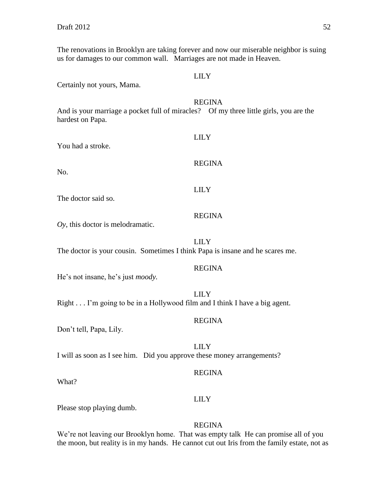The renovations in Brooklyn are taking forever and now our miserable neighbor is suing us for damages to our common wall. Marriages are not made in Heaven.

LILY Certainly not yours, Mama. REGINA And is your marriage a pocket full of miracles? Of my three little girls, you are the hardest on Papa. LILY You had a stroke. REGINA No. LILY The doctor said so. REGINA *Oy*, this doctor is melodramatic. LILY The doctor is your cousin. Sometimes I think Papa is insane and he scares me. REGINA He's not insane, he's just *moody.* LILY Right . . . I'm going to be in a Hollywood film and I think I have a big agent. REGINA Don't tell, Papa, Lily. LILY I will as soon as I see him. Did you approve these money arrangements? REGINA What? LILY Please stop playing dumb. REGINA We're not leaving our Brooklyn home. That was empty talk He can promise all of you

the moon, but reality is in my hands. He cannot cut out Iris from the family estate, not as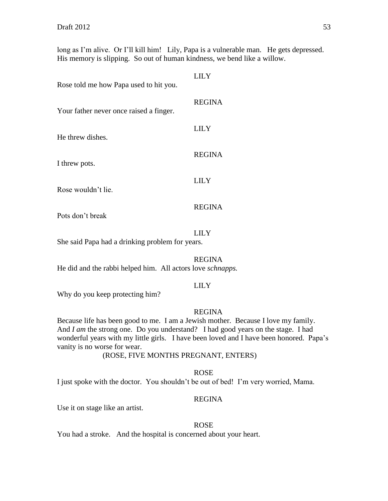long as I'm alive. Or I'll kill him! Lily, Papa is a vulnerable man. He gets depressed. His memory is slipping. So out of human kindness, we bend like a willow.

| Rose told me how Papa used to hit you.  | LILY          |
|-----------------------------------------|---------------|
| Your father never once raised a finger. | <b>REGINA</b> |
| He threw dishes.                        | LILY          |
| I threw pots.                           | <b>REGINA</b> |
| Rose wouldn't lie.                      | LILY          |
|                                         | <b>REGINA</b> |

Pots don't break

#### LILY

She said Papa had a drinking problem for years.

#### REGINA

He did and the rabbi helped him. All actors love *schnapps.*

#### LILY

Why do you keep protecting him?

## REGINA

Because life has been good to me. I am a Jewish mother. Because I love my family. And *I am* the strong one. Do you understand? I had good years on the stage. I had wonderful years with my little girls. I have been loved and I have been honored. Papa's vanity is no worse for wear.

#### (ROSE, FIVE MONTHS PREGNANT, ENTERS)

#### ROSE

I just spoke with the doctor. You shouldn't be out of bed! I'm very worried, Mama.

#### REGINA

Use it on stage like an artist.

#### ROSE

You had a stroke. And the hospital is concerned about your heart.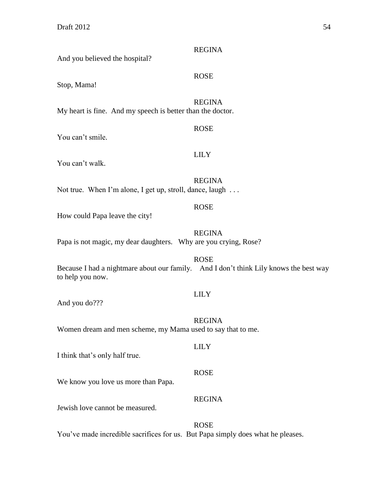| And you believed the hospital?                                  | <b>REGINA</b>                                                                                        |
|-----------------------------------------------------------------|------------------------------------------------------------------------------------------------------|
| Stop, Mama!                                                     | <b>ROSE</b>                                                                                          |
| My heart is fine. And my speech is better than the doctor.      | <b>REGINA</b>                                                                                        |
| You can't smile.                                                | <b>ROSE</b>                                                                                          |
| You can't walk.                                                 | <b>LILY</b>                                                                                          |
| Not true. When I'm alone, I get up, stroll, dance, laugh        | <b>REGINA</b>                                                                                        |
| How could Papa leave the city!                                  | <b>ROSE</b>                                                                                          |
| Papa is not magic, my dear daughters. Why are you crying, Rose? | <b>REGINA</b>                                                                                        |
| to help you now.                                                | <b>ROSE</b><br>Because I had a nightmare about our family. And I don't think Lily knows the best way |
| And you do???                                                   | <b>LILY</b>                                                                                          |
| Women dream and men scheme, my Mama used to say that to me.     | <b>REGINA</b>                                                                                        |
| I think that's only half true.                                  | <b>LILY</b>                                                                                          |
| We know you love us more than Papa.                             | <b>ROSE</b>                                                                                          |

Jewish love cannot be measured.

# ROSE

REGINA

You've made incredible sacrifices for us. But Papa simply does what he pleases.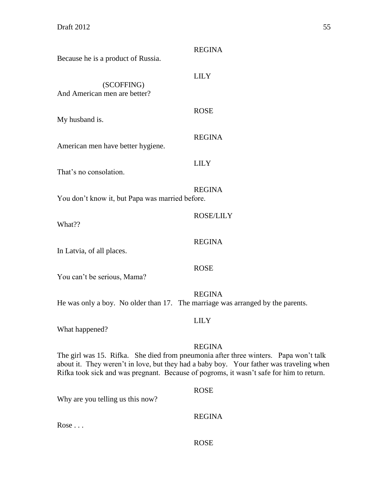| Because he is a product of Russia.                                             | <b>REGINA</b>                                                                                                                                                                                                                                                                               |
|--------------------------------------------------------------------------------|---------------------------------------------------------------------------------------------------------------------------------------------------------------------------------------------------------------------------------------------------------------------------------------------|
| (SCOFFING)<br>And American men are better?                                     | <b>LILY</b>                                                                                                                                                                                                                                                                                 |
| My husband is.                                                                 | <b>ROSE</b>                                                                                                                                                                                                                                                                                 |
| American men have better hygiene.                                              | <b>REGINA</b>                                                                                                                                                                                                                                                                               |
| That's no consolation.                                                         | <b>LILY</b>                                                                                                                                                                                                                                                                                 |
| You don't know it, but Papa was married before.                                | <b>REGINA</b>                                                                                                                                                                                                                                                                               |
| What??                                                                         | <b>ROSE/LILY</b>                                                                                                                                                                                                                                                                            |
| In Latvia, of all places.                                                      | <b>REGINA</b>                                                                                                                                                                                                                                                                               |
| You can't be serious, Mama?                                                    | <b>ROSE</b>                                                                                                                                                                                                                                                                                 |
| He was only a boy. No older than 17. The marriage was arranged by the parents. | <b>REGINA</b>                                                                                                                                                                                                                                                                               |
| What happened?                                                                 | <b>LILY</b>                                                                                                                                                                                                                                                                                 |
|                                                                                | <b>REGINA</b><br>The girl was 15. Rifka. She died from pneumonia after three winters. Papa won't talk<br>about it. They weren't in love, but they had a baby boy. Your father was traveling when<br>Rifka took sick and was pregnant. Because of pogroms, it wasn't safe for him to return. |
| Why are you telling us this now?                                               | <b>ROSE</b>                                                                                                                                                                                                                                                                                 |
| $Rose \dots$                                                                   | <b>REGINA</b>                                                                                                                                                                                                                                                                               |

ROSE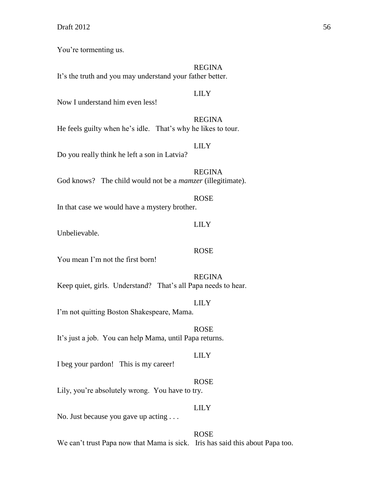You're tormenting us.

## REGINA

It's the truth and you may understand your father better.

#### LILY

LILY

Now I understand him even less!

REGINA He feels guilty when he's idle. That's why he likes to tour.

Do you really think he left a son in Latvia?

REGINA God knows? The child would not be a *mamzer* (illegitimate).

#### ROSE

In that case we would have a mystery brother.

#### LILY

Unbelievable.

# ROSE

You mean I'm not the first born!

REGINA Keep quiet, girls. Understand? That's all Papa needs to hear.

# LILY

I'm not quitting Boston Shakespeare, Mama.

ROSE It's just a job. You can help Mama, until Papa returns.

#### LILY

I beg your pardon! This is my career!

#### ROSE

Lily, you're absolutely wrong. You have to try.

# LILY

No. Just because you gave up acting . . .

ROSE We can't trust Papa now that Mama is sick. Iris has said this about Papa too.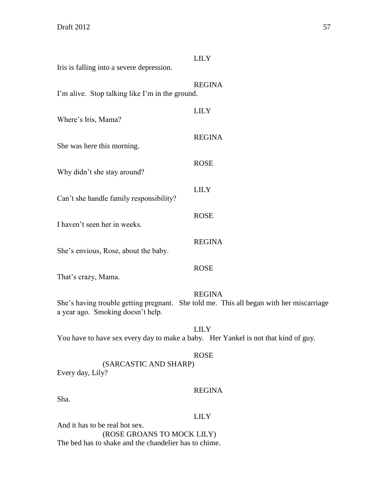| Iris is falling into a severe depression.                                          | <b>LILY</b>                                                                                              |
|------------------------------------------------------------------------------------|----------------------------------------------------------------------------------------------------------|
| I'm alive. Stop talking like I'm in the ground.                                    | <b>REGINA</b>                                                                                            |
| Where's Iris, Mama?                                                                | <b>LILY</b>                                                                                              |
| She was here this morning.                                                         | <b>REGINA</b>                                                                                            |
| Why didn't she stay around?                                                        | <b>ROSE</b>                                                                                              |
| Can't she handle family responsibility?                                            | <b>LILY</b>                                                                                              |
| I haven't seen her in weeks.                                                       | <b>ROSE</b>                                                                                              |
| She's envious, Rose, about the baby.                                               | <b>REGINA</b>                                                                                            |
| That's crazy, Mama.                                                                | <b>ROSE</b>                                                                                              |
| a year ago. Smoking doesn't help.                                                  | <b>REGINA</b><br>She's having trouble getting pregnant. She told me. This all began with her miscarriage |
| You have to have sex every day to make a baby. Her Yankel is not that kind of guy. | <b>LILY</b>                                                                                              |
| (SARCASTIC AND SHARP)<br>Every day, Lily?                                          | <b>ROSE</b>                                                                                              |
| Sha.                                                                               | <b>REGINA</b>                                                                                            |
|                                                                                    | <b>LILY</b>                                                                                              |

And it has to be real hot sex. (ROSE GROANS TO MOCK LILY) The bed has to shake and the chandelier has to chime.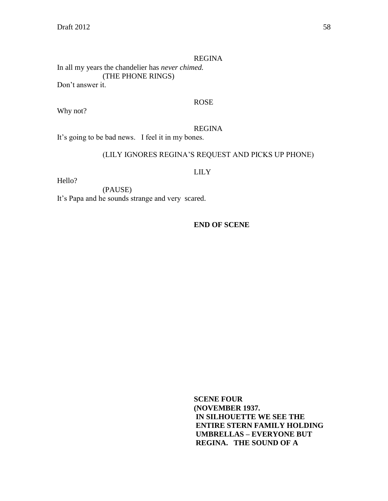#### REGINA

In all my years the chandelier has *never chimed.* (THE PHONE RINGS) Don't answer it.

#### ROSE

Why not?

#### REGINA

It's going to be bad news. I feel it in my bones.

# (LILY IGNORES REGINA'S REQUEST AND PICKS UP PHONE)

#### LILY

Hello?

(PAUSE) It's Papa and he sounds strange and very scared.

**END OF SCENE**

**SCENE FOUR (NOVEMBER 1937. IN SILHOUETTE WE SEE THE ENTIRE STERN FAMILY HOLDING UMBRELLAS – EVERYONE BUT REGINA. THE SOUND OF A**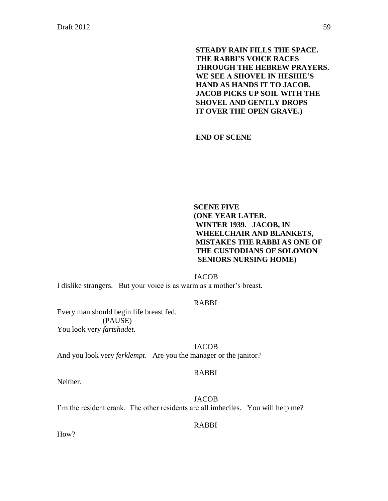**STEADY RAIN FILLS THE SPACE. THE RABBI'S VOICE RACES THROUGH THE HEBREW PRAYERS. WE SEE A SHOVEL IN HESHIE'S HAND AS HANDS IT TO JACOB. JACOB PICKS UP SOIL WITH THE SHOVEL AND GENTLY DROPS IT OVER THE OPEN GRAVE.)** 

**END OF SCENE**

# **SCENE FIVE (ONE YEAR LATER. WINTER 1939. JACOB, IN WHEELCHAIR AND BLANKETS, MISTAKES THE RABBI AS ONE OF THE CUSTODIANS OF SOLOMON SENIORS NURSING HOME)**

JACOB

I dislike strangers. But your voice is as warm as a mother's breast.

### RABBI

Every man should begin life breast fed. (PAUSE) You look very *fartshadet.*

#### JACOB

And you look very *ferklempt*. Are you the manager or the janitor?

#### RABBI

Neither.

JACOB I'm the resident crank. The other residents are all imbeciles. You will help me?

#### RABBI

How?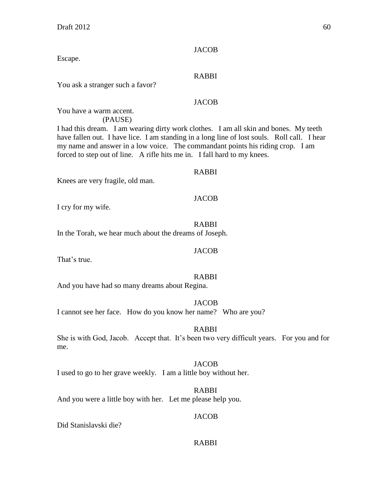Escape.

# RABBI

**JACOB** 

You ask a stranger such a favor?

# JACOB

You have a warm accent. (PAUSE)

I had this dream. I am wearing dirty work clothes. I am all skin and bones. My teeth have fallen out. I have lice. I am standing in a long line of lost souls. Roll call. I hear my name and answer in a low voice. The commandant points his riding crop. I am forced to step out of line. A rifle hits me in. I fall hard to my knees.

#### RABBI

Knees are very fragile, old man.

#### JACOB

I cry for my wife.

#### RABBI

In the Torah, we hear much about the dreams of Joseph.

That's true.

# RABBI

JACOB

And you have had so many dreams about Regina.

#### JACOB

I cannot see her face. How do you know her name? Who are you?

#### RABBI

She is with God, Jacob. Accept that. It's been two very difficult years. For you and for me.

#### JACOB

I used to go to her grave weekly. I am a little boy without her.

#### RABBI

And you were a little boy with her. Let me please help you.

#### JACOB

Did Stanislavski die?

#### RABBI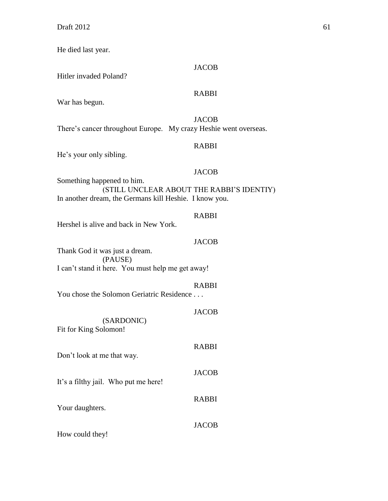He died last year.

#### **JACOB**

Hitler invaded Poland?

# RABBI

War has begun.

**JACOB** There's cancer throughout Europe. My crazy Heshie went overseas.

# RABBI

He's your only sibling.

# JACOB

Something happened to him. (STILL UNCLEAR ABOUT THE RABBI'S IDENTIY) In another dream, the Germans kill Heshie. I know you.

# RABBI

Hershel is alive and back in New York.

# JACOB

Thank God it was just a dream. (PAUSE) I can't stand it here. You must help me get away!

# RABBI

**JACOB** 

RABBI

**JACOB** 

RABBI

**JACOB** 

You chose the Solomon Geriatric Residence . . .

(SARDONIC) Fit for King Solomon!

Don't look at me that way.

It's a filthy jail. Who put me here!

Your daughters.

How could they!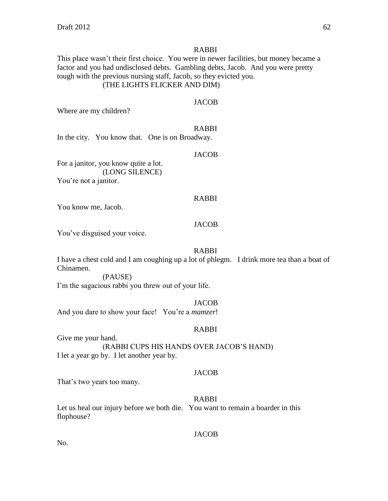#### RABBI

This place wasn't their first choice. You were in newer facilities, but money became a factor and you had undisclosed debts. Gambling debts, Jacob. And you were pretty tough with the previous nursing staff, Jacob, so they evicted you. (THE LIGHTS FLICKER AND DIM)

#### **JACOB**

Where are my children?

#### RABBI

In the city. You know that. One is on Broadway.

#### **JACOB**

For a janitor, you know quite a lot. (LONG SILENCE) You're not a janitor.

## RABBI

You know me, Jacob.

#### **JACOB**

You've disguised your voice.

#### RABBI

I have a chest cold and I am coughing up a lot of phlegm. I drink more tea than a boat of Chinamen.

(PAUSE)

I'm the sagacious rabbi you threw out of your life.

#### **JACOB**

And you dare to show your face! You're a *mamzer*!

#### RABBI

Give me your hand. (RABBI CUPS HIS HANDS OVER JACOB'S HAND) I let a year go by. I let another year by.

#### **JACOB**

That's two years too many.

#### RABBI

Let us heal our injury before we both die. You want to remain a boarder in this flophouse?

#### JACOB

No.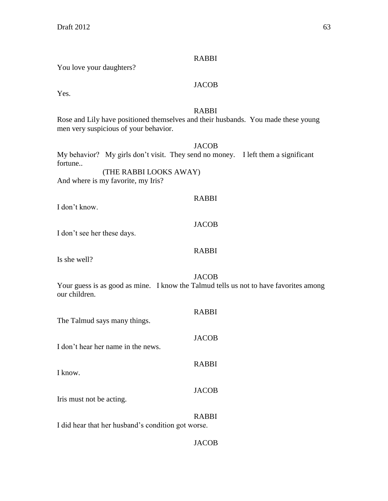#### RABBI

You love your daughters?

# **JACOB**

Yes.

# RABBI

Rose and Lily have positioned themselves and their husbands. You made these young men very suspicious of your behavior.

JACOB

My behavior? My girls don't visit. They send no money. I left them a significant fortune..

(THE RABBI LOOKS AWAY) And where is my favorite, my Iris?

# RABBI

I don't know.

#### JACOB

I don't see her these days.

# RABBI

Is she well?

#### JACOB

Your guess is as good as mine. I know the Talmud tells us not to have favorites among our children.

| The Talmud says many things.                       | <b>RABBI</b> |
|----------------------------------------------------|--------------|
| I don't hear her name in the news.                 | <b>JACOB</b> |
| I know.                                            | <b>RABBI</b> |
| Iris must not be acting.                           | <b>JACOB</b> |
| I did hear that her husband's condition got worse. | <b>RABBI</b> |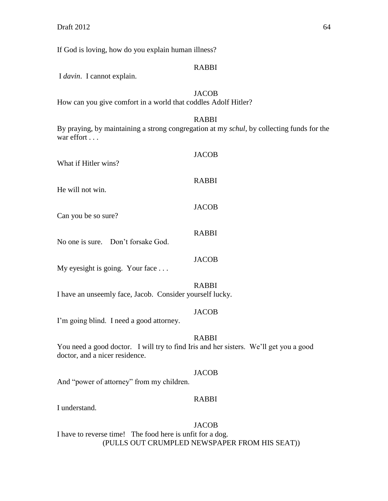If God is loving, how do you explain human illness?

#### RABBI

I *davin*. I cannot explain.

# JACOB

How can you give comfort in a world that coddles Adolf Hitler?

# RABBI

By praying, by maintaining a strong congregation at my *schul*, by collecting funds for the war effort ....

| What if Hitler wins?               | <b>JACOB</b> |
|------------------------------------|--------------|
| He will not win.                   | <b>RABBI</b> |
| Can you be so sure?                | <b>JACOB</b> |
| No one is sure. Don't forsake God. | <b>RABBI</b> |
| My eyesight is going. Your face    | <b>JACOB</b> |
| <b>TA</b>                          | <b>RABBI</b> |

I have an unseemly face, Jacob. Consider yourself lucky.

## JACOB

I'm going blind. I need a good attorney.

# RABBI

You need a good doctor. I will try to find Iris and her sisters. We'll get you a good doctor, and a nicer residence.

#### JACOB

And "power of attorney" from my children.

# RABBI

I understand.

JACOB I have to reverse time! The food here is unfit for a dog. (PULLS OUT CRUMPLED NEWSPAPER FROM HIS SEAT))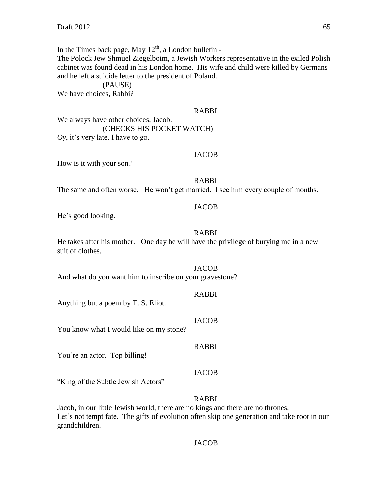In the Times back page, May  $12<sup>th</sup>$ , a London bulletin -The Polock Jew Shmuel Ziegelboim, a Jewish Workers representative in the exiled Polish cabinet was found dead in his London home. His wife and child were killed by Germans and he left a suicide letter to the president of Poland.

(PAUSE) We have choices, Rabbi?

#### RABBI

We always have other choices, Jacob. (CHECKS HIS POCKET WATCH) *Oy*, it's very late. I have to go.

#### JACOB

How is it with your son?

#### RABBI

The same and often worse. He won't get married. I see him every couple of months.

#### JACOB

He's good looking.

#### RABBI

He takes after his mother. One day he will have the privilege of burying me in a new suit of clothes.

#### **JACOB**

And what do you want him to inscribe on your gravestone?

#### RABBI

Anything but a poem by T. S. Eliot.

#### JACOB

You know what I would like on my stone?

#### RABBI

You're an actor. Top billing!

#### **JACOB**

"King of the Subtle Jewish Actors"

#### RABBI

Jacob, in our little Jewish world, there are no kings and there are no thrones. Let's not tempt fate. The gifts of evolution often skip one generation and take root in our grandchildren.

#### JACOB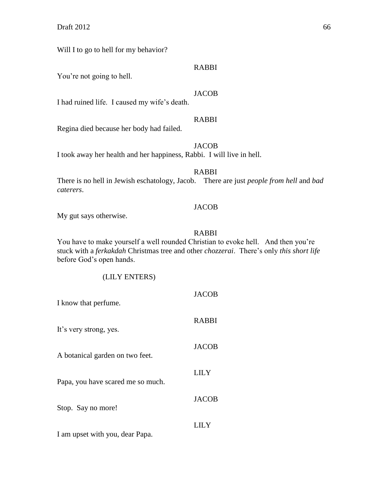Will I to go to hell for my behavior?

#### RABBI

You're not going to hell.

# **JACOB**

I had ruined life. I caused my wife's death.

# RABBI

Regina died because her body had failed.

# JACOB

I took away her health and her happiness, Rabbi. I will live in hell.

# RABBI

There is no hell in Jewish eschatology, Jacob. There are just *people from hell* and *bad caterers*.

#### JACOB

My gut says otherwise.

# RABBI

You have to make yourself a well rounded Christian to evoke hell. And then you're stuck with a *ferkakdah* Christmas tree and other *chozzerai*. There's only *this short life* before God's open hands.

# (LILY ENTERS)

| I know that perfume.              | <b>JACOB</b> |
|-----------------------------------|--------------|
| It's very strong, yes.            | <b>RABBI</b> |
| A botanical garden on two feet.   | <b>JACOB</b> |
| Papa, you have scared me so much. | LILY         |
| Stop. Say no more!                | <b>JACOB</b> |
| I am upset with you, dear Papa.   | LILY         |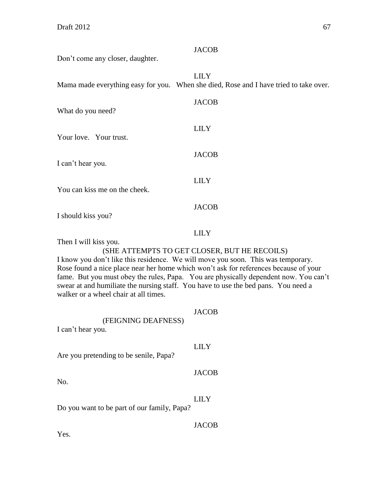| Don't come any closer, daughter.                                                                                                                                                                                                                                                                                                                                                                                                                                                        | <b>JACOB</b>                                                                                         |  |
|-----------------------------------------------------------------------------------------------------------------------------------------------------------------------------------------------------------------------------------------------------------------------------------------------------------------------------------------------------------------------------------------------------------------------------------------------------------------------------------------|------------------------------------------------------------------------------------------------------|--|
|                                                                                                                                                                                                                                                                                                                                                                                                                                                                                         | <b>LILY</b><br>Mama made everything easy for you. When she died, Rose and I have tried to take over. |  |
| What do you need?                                                                                                                                                                                                                                                                                                                                                                                                                                                                       | <b>JACOB</b>                                                                                         |  |
| Your love. Your trust.                                                                                                                                                                                                                                                                                                                                                                                                                                                                  | <b>LILY</b>                                                                                          |  |
| I can't hear you.                                                                                                                                                                                                                                                                                                                                                                                                                                                                       | <b>JACOB</b>                                                                                         |  |
| You can kiss me on the cheek.                                                                                                                                                                                                                                                                                                                                                                                                                                                           | <b>LILY</b>                                                                                          |  |
| I should kiss you?                                                                                                                                                                                                                                                                                                                                                                                                                                                                      | <b>JACOB</b>                                                                                         |  |
| <b>LILY</b><br>Then I will kiss you.<br>(SHE ATTEMPTS TO GET CLOSER, BUT HE RECOILS)<br>I know you don't like this residence. We will move you soon. This was temporary.<br>Rose found a nice place near her home which won't ask for references because of your<br>fame. But you must obey the rules, Papa. You are physically dependent now. You can't<br>swear at and humiliate the nursing staff. You have to use the bed pans. You need a<br>walker or a wheel chair at all times. |                                                                                                      |  |
| (FEIGNING DEAFNESS)<br>I can't hear you.                                                                                                                                                                                                                                                                                                                                                                                                                                                | <b>JACOB</b>                                                                                         |  |
| Are you pretending to be senile, Papa?                                                                                                                                                                                                                                                                                                                                                                                                                                                  | <b>LILY</b>                                                                                          |  |
| No.                                                                                                                                                                                                                                                                                                                                                                                                                                                                                     | <b>JACOB</b>                                                                                         |  |
| Do you want to be part of our family, Papa?                                                                                                                                                                                                                                                                                                                                                                                                                                             | <b>LILY</b>                                                                                          |  |
|                                                                                                                                                                                                                                                                                                                                                                                                                                                                                         | <b>JACOB</b>                                                                                         |  |

Yes.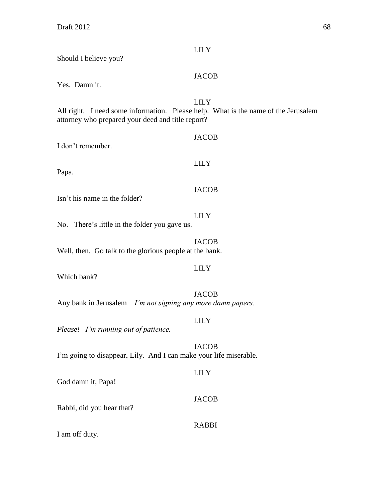| Should I believe you?                                                                                                                   | <b>LILY</b>  |
|-----------------------------------------------------------------------------------------------------------------------------------------|--------------|
| Yes. Damn it.                                                                                                                           | <b>JACOB</b> |
| All right. I need some information. Please help. What is the name of the Jerusalem<br>attorney who prepared your deed and title report? | <b>LILY</b>  |
| I don't remember.                                                                                                                       | <b>JACOB</b> |
| Papa.                                                                                                                                   | <b>LILY</b>  |
| Isn't his name in the folder?                                                                                                           | <b>JACOB</b> |
| No. There's little in the folder you gave us.                                                                                           | <b>LILY</b>  |
| Well, then. Go talk to the glorious people at the bank.                                                                                 | <b>JACOB</b> |
| Which bank?                                                                                                                             | <b>LILY</b>  |
| Any bank in Jerusalem <i>I'm not signing any more damn papers</i> .                                                                     | <b>JACOB</b> |
| Please! I'm running out of patience.                                                                                                    | <b>LILY</b>  |
| I'm going to disappear, Lily. And I can make your life miserable.                                                                       | <b>JACOB</b> |
| God damn it, Papa!                                                                                                                      | <b>LILY</b>  |
| Rabbi, did you hear that?                                                                                                               | <b>JACOB</b> |
| I am off duty.                                                                                                                          | <b>RABBI</b> |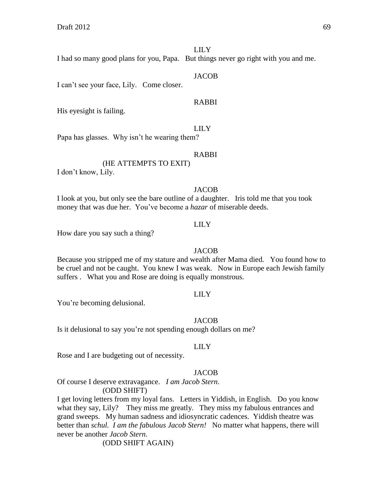# LILY

I had so many good plans for you, Papa. But things never go right with you and me.

#### JACOB

I can't see your face, Lily. Come closer.

#### RABBI

His eyesight is failing.

#### LILY

Papa has glasses. Why isn't he wearing them?

#### RABBI

(HE ATTEMPTS TO EXIT) I don't know, Lily.

#### **JACOB**

I look at you, but only see the bare outline of a daughter. Iris told me that you took money that was due her. You've become a *hazar* of miserable deeds.

#### LILY

How dare you say such a thing?

#### JACOB

Because you stripped me of my stature and wealth after Mama died. You found how to be cruel and not be caught. You knew I was weak. Now in Europe each Jewish family suffers . What you and Rose are doing is equally monstrous.

#### LILY

You're becoming delusional.

#### **JACOB**

Is it delusional to say you're not spending enough dollars on me?

#### LILY

Rose and I are budgeting out of necessity.

#### **JACOB**

Of course I deserve extravagance. *I am Jacob Stern*. (ODD SHIFT)

I get loving letters from my loyal fans. Letters in Yiddish, in English. Do you know what they say, Lily? They miss me greatly. They miss my fabulous entrances and grand sweeps. My human sadness and idiosyncratic cadences. Yiddish theatre was better than *schul. I am the fabulous Jacob Stern!* No matter what happens, there will never be another *Jacob Stern*.

(ODD SHIFT AGAIN)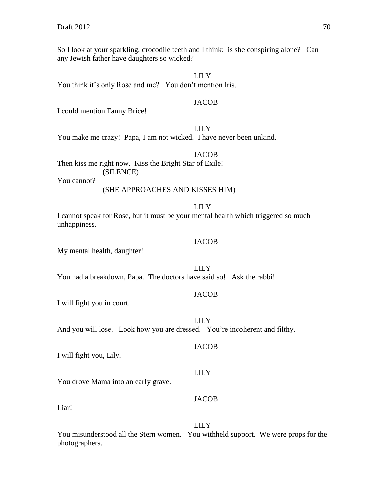So I look at your sparkling, crocodile teeth and I think: is she conspiring alone? Can any Jewish father have daughters so wicked?

LILY

You think it's only Rose and me? You don't mention Iris.

#### **JACOB**

I could mention Fanny Brice!

LILY

You make me crazy! Papa, I am not wicked. I have never been unkind.

**JACOB** 

Then kiss me right now. Kiss the Bright Star of Exile! (SILENCE)

You cannot?

# (SHE APPROACHES AND KISSES HIM)

#### LILY

I cannot speak for Rose, but it must be your mental health which triggered so much unhappiness.

#### **JACOB**

My mental health, daughter!

LILY

You had a breakdown, Papa. The doctors have said so! Ask the rabbi!

#### JACOB

**JACOB** 

I will fight you in court.

LILY And you will lose. Look how you are dressed. You're incoherent and filthy.

I will fight you, Lily.

LILY

You drove Mama into an early grave.

Liar!

# LILY

JACOB

You misunderstood all the Stern women. You withheld support. We were props for the photographers.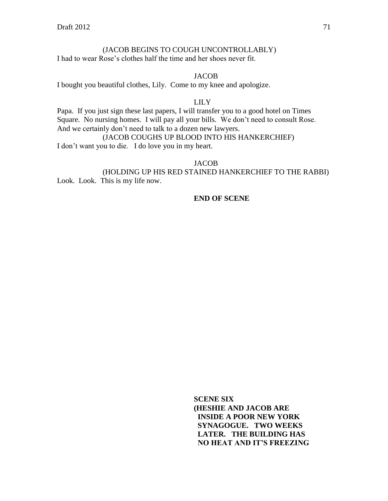# (JACOB BEGINS TO COUGH UNCONTROLLABLY)

I had to wear Rose's clothes half the time and her shoes never fit.

# JACOB

I bought you beautiful clothes, Lily. Come to my knee and apologize.

#### LILY

Papa. If you just sign these last papers, I will transfer you to a good hotel on Times Square. No nursing homes. I will pay all your bills. We don't need to consult Rose. And we certainly don't need to talk to a dozen new lawyers.

(JACOB COUGHS UP BLOOD INTO HIS HANKERCHIEF) I don't want you to die. I do love you in my heart.

#### **JACOB**

(HOLDING UP HIS RED STAINED HANKERCHIEF TO THE RABBI) Look. Look. This is my life now.

#### **END OF SCENE**

**SCENE SIX (HESHIE AND JACOB ARE INSIDE A POOR NEW YORK SYNAGOGUE. TWO WEEKS LATER. THE BUILDING HAS NO HEAT AND IT'S FREEZING**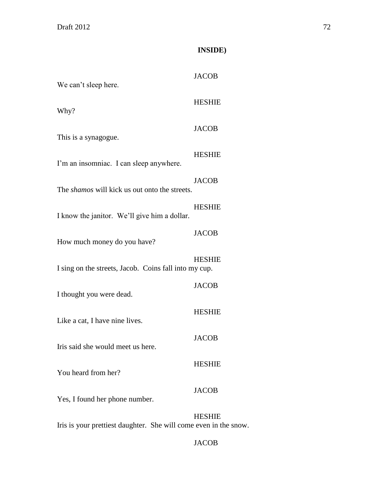# **INSIDE)**

| We can't sleep here.                                  | <b>JACOB</b>  |
|-------------------------------------------------------|---------------|
| Why?                                                  | <b>HESHIE</b> |
| This is a synagogue.                                  | <b>JACOB</b>  |
| I'm an insomniac. I can sleep anywhere.               | <b>HESHIE</b> |
| The <i>shamos</i> will kick us out onto the streets.  | <b>JACOB</b>  |
| I know the janitor. We'll give him a dollar.          | <b>HESHIE</b> |
| How much money do you have?                           | <b>JACOB</b>  |
| I sing on the streets, Jacob. Coins fall into my cup. | <b>HESHIE</b> |
| I thought you were dead.                              | <b>JACOB</b>  |
| Like a cat, I have nine lives.                        | <b>HESHIE</b> |
| Iris said she would meet us here.                     | <b>JACOB</b>  |
| You heard from her?                                   | <b>HESHIE</b> |
| Yes, I found her phone number.                        | <b>JACOB</b>  |
|                                                       | <b>HESHIE</b> |

Iris is your prettiest daughter. She will come even in the snow.

# JACOB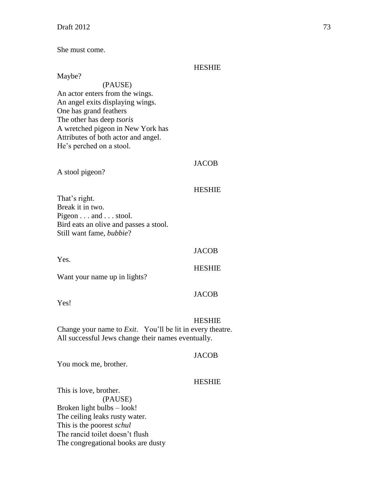She must come.

#### **HESHIE**

Maybe? (PAUSE) An actor enters from the wings. An angel exits displaying wings. One has grand feathers The other has deep *tsoris* A wretched pigeon in New York has Attributes of both actor and angel. He's perched on a stool.

# JACOB

A stool pigeon?

### HESHIE

That's right. Break it in two. Pigeon . . . and . . . stool. Bird eats an olive and passes a stool. Still want fame, *bubbie*?

# JACOB

HESHIE

Want your name up in lights?

Yes!

Yes.

# HESHIE

JACOB

Change your name to *Exit*. You'll be lit in every theatre. All successful Jews change their names eventually.

#### **JACOB**

You mock me, brother.

#### HESHIE

This is love, brother. (PAUSE) Broken light bulbs – look! The ceiling leaks rusty water. This is the poorest *schul* The rancid toilet doesn't flush The congregational books are dusty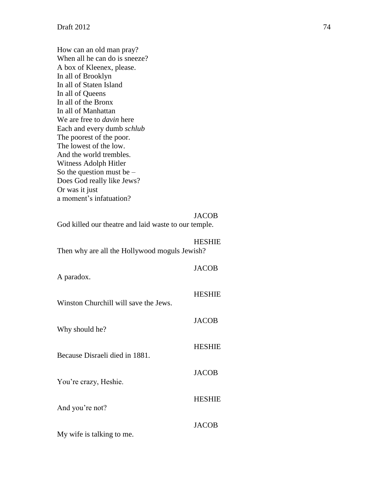How can an old man pray? When all he can do is sneeze? A box of Kleenex, please. In all of Brooklyn In all of Staten Island In all of Queens In all of the Bronx In all of Manhattan We are free to *davin* here Each and every dumb *schlub* The poorest of the poor. The lowest of the low. And the world trembles. Witness Adolph Hitler So the question must be  $-$ Does God really like Jews? Or was it just a moment's infatuation?

#### JACOB

God killed our theatre and laid waste to our temple.

#### HESHIE

Then why are all the Hollywood moguls Jewish?

| A paradox.                            | <b>JACOB</b>  |
|---------------------------------------|---------------|
| Winston Churchill will save the Jews. | <b>HESHIE</b> |
| Why should he?                        | <b>JACOB</b>  |
|                                       | <b>HESHIE</b> |
| Because Disraeli died in 1881.        | <b>JACOB</b>  |
| You're crazy, Heshie.                 |               |
| And you're not?                       | <b>HESHIE</b> |
| My wife is talking to me.             | <b>JACOB</b>  |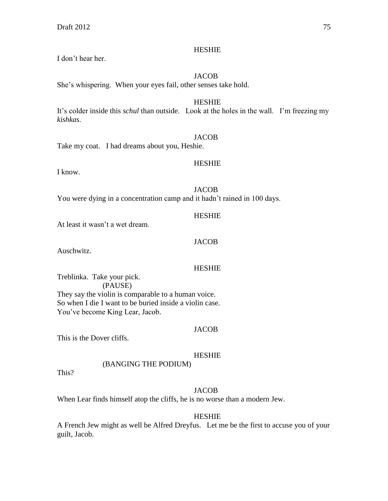# I don't hear her.

# **HESHIE**

# JACOB

She's whispering. When your eyes fail, other senses take hold.

HESHIE It's colder inside this *schul* than outside. Look at the holes in the wall. I'm freezing my *kishkas.*

## **JACOB**

Take my coat. I had dreams about you, Heshie.

# HESHIE

I know.

**JACOB** 

You were dying in a concentration camp and it hadn't rained in 100 days.

### HESHIE

At least it wasn't a wet dream.

### JACOB

Auschwitz.

# HESHIE

Treblinka. Take your pick. (PAUSE) They say the violin is comparable to a human voice. So when I die I want to be buried inside a violin case. You've become King Lear, Jacob.

#### **JACOB**

This is the Dover cliffs.

# HESHIE

# (BANGING THE PODIUM)

This?

# **JACOB**

When Lear finds himself atop the cliffs, he is no worse than a modern Jew.

#### HESHIE

A French Jew might as well be Alfred Dreyfus. Let me be the first to accuse you of your guilt, Jacob.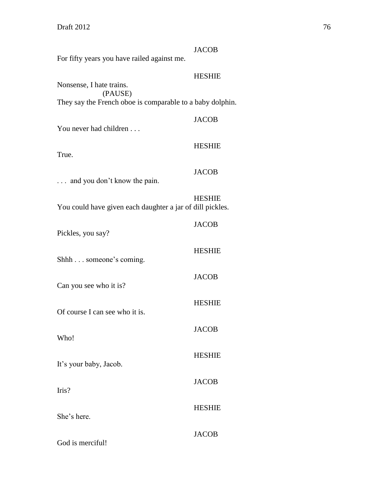|                                                           | <b>JACOB</b>  |
|-----------------------------------------------------------|---------------|
| For fifty years you have railed against me.               |               |
| Nonsense, I hate trains.                                  | <b>HESHIE</b> |
| (PAUSE)                                                   |               |
| They say the French oboe is comparable to a baby dolphin. |               |
| You never had children                                    | <b>JACOB</b>  |
|                                                           | <b>HESHIE</b> |
| True.                                                     |               |
| and you don't know the pain.                              | <b>JACOB</b>  |
| You could have given each daughter a jar of dill pickles. | <b>HESHIE</b> |
| Pickles, you say?                                         | <b>JACOB</b>  |
| Shhh someone's coming.                                    | <b>HESHIE</b> |
| Can you see who it is?                                    | <b>JACOB</b>  |
|                                                           | <b>HESHIE</b> |
| Of course I can see who it is.                            |               |
| Who!                                                      | JACOB         |
| It's your baby, Jacob.                                    | <b>HESHIE</b> |
| Iris?                                                     | <b>JACOB</b>  |
|                                                           | <b>HESHIE</b> |
| She's here.                                               |               |
| God is merciful!                                          | <b>JACOB</b>  |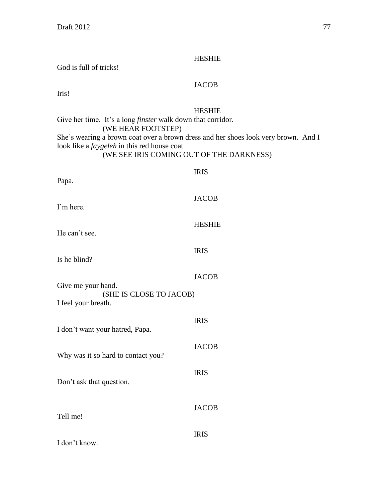## HESHIE

God is full of tricks!

# JACOB

Iris!

# HESHIE

Give her time. It's a long *finster* walk down that corridor. (WE HEAR FOOTSTEP) She's wearing a brown coat over a brown dress and her shoes look very brown. And I look like a *faygeleh* in this red house coat (WE SEE IRIS COMING OUT OF THE DARKNESS)

| Papa.                                                                | <b>IRIS</b>   |
|----------------------------------------------------------------------|---------------|
| I'm here.                                                            | <b>JACOB</b>  |
| He can't see.                                                        | <b>HESHIE</b> |
| Is he blind?                                                         | <b>IRIS</b>   |
|                                                                      | <b>JACOB</b>  |
| Give me your hand.<br>(SHE IS CLOSE TO JACOB)<br>I feel your breath. |               |
| I don't want your hatred, Papa.                                      | <b>IRIS</b>   |
|                                                                      | <b>JACOB</b>  |
| Why was it so hard to contact you?                                   | <b>IRIS</b>   |
| Don't ask that question.                                             |               |
| Tell me!                                                             | <b>JACOB</b>  |
| I don't know.                                                        | <b>IRIS</b>   |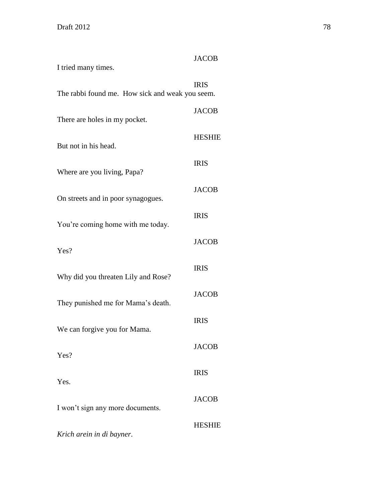| I tried many times.                             | <b>JACOB</b>  |
|-------------------------------------------------|---------------|
| The rabbi found me. How sick and weak you seem. | <b>IRIS</b>   |
| There are holes in my pocket.                   | <b>JACOB</b>  |
| But not in his head.                            | <b>HESHIE</b> |
| Where are you living, Papa?                     | <b>IRIS</b>   |
| On streets and in poor synagogues.              | <b>JACOB</b>  |
| You're coming home with me today.               | <b>IRIS</b>   |
| Yes?                                            | <b>JACOB</b>  |
| Why did you threaten Lily and Rose?             | <b>IRIS</b>   |
| They punished me for Mama's death.              | <b>JACOB</b>  |
| We can forgive you for Mama.                    | <b>IRIS</b>   |
| Yes?                                            | <b>JACOB</b>  |
| Yes.                                            | <b>IRIS</b>   |
| I won't sign any more documents.                | <b>JACOB</b>  |
| Krich arein in di bayner.                       | <b>HESHIE</b> |
|                                                 |               |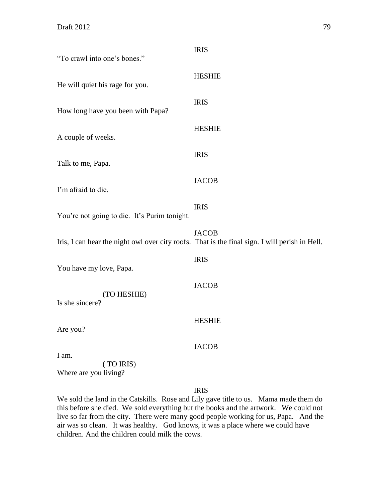| "To crawl into one's bones."                                                                   | <b>IRIS</b>   |
|------------------------------------------------------------------------------------------------|---------------|
| He will quiet his rage for you.                                                                | <b>HESHIE</b> |
| How long have you been with Papa?                                                              | <b>IRIS</b>   |
| A couple of weeks.                                                                             | <b>HESHIE</b> |
| Talk to me, Papa.                                                                              | <b>IRIS</b>   |
| I'm afraid to die.                                                                             | <b>JACOB</b>  |
| You're not going to die. It's Purim tonight.                                                   | <b>IRIS</b>   |
| Iris, I can hear the night owl over city roofs. That is the final sign. I will perish in Hell. | <b>JACOB</b>  |
| You have my love, Papa.                                                                        | <b>IRIS</b>   |
| (TO HESHIE)<br>Is she sincere?                                                                 | <b>JACOB</b>  |
| Are you?                                                                                       | <b>HESHIE</b> |
| I am.                                                                                          | <b>JACOB</b>  |
| (TO IRIS)<br>Where are you living?                                                             |               |

# IRIS

We sold the land in the Catskills. Rose and Lily gave title to us. Mama made them do this before she died. We sold everything but the books and the artwork. We could not live so far from the city. There were many good people working for us, Papa. And the air was so clean. It was healthy. God knows, it was a place where we could have children. And the children could milk the cows.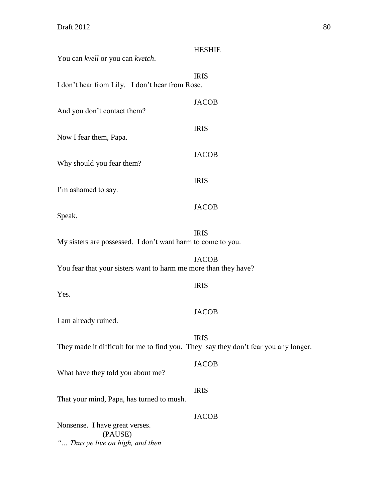|                                                                                     | <b>HESHIE</b> |
|-------------------------------------------------------------------------------------|---------------|
| You can kvell or you can kvetch.                                                    |               |
| I don't hear from Lily. I don't hear from Rose.                                     | <b>IRIS</b>   |
|                                                                                     |               |
| And you don't contact them?                                                         | <b>JACOB</b>  |
| Now I fear them, Papa.                                                              | <b>IRIS</b>   |
| Why should you fear them?                                                           | <b>JACOB</b>  |
| I'm ashamed to say.                                                                 | <b>IRIS</b>   |
| Speak.                                                                              | <b>JACOB</b>  |
| My sisters are possessed. I don't want harm to come to you.                         | <b>IRIS</b>   |
| You fear that your sisters want to harm me more than they have?                     | <b>JACOB</b>  |
| Yes.                                                                                | <b>IRIS</b>   |
| I am already ruined.                                                                | <b>JACOB</b>  |
| They made it difficult for me to find you. They say they don't fear you any longer. | <b>IRIS</b>   |
| What have they told you about me?                                                   | <b>JACOB</b>  |
| That your mind, Papa, has turned to mush.                                           | <b>IRIS</b>   |
| Nonsense. I have great verses.<br>(PAUSE)<br>" Thus ye live on high, and then       | <b>JACOB</b>  |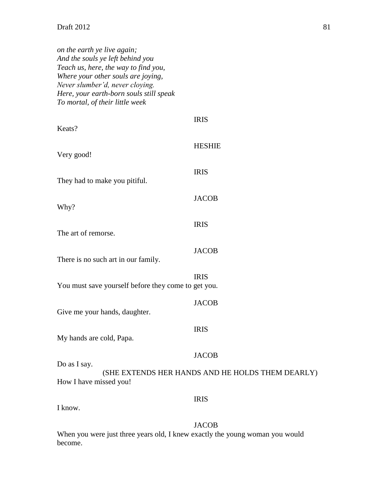| on the earth ye live again;             |
|-----------------------------------------|
| And the souls ye left behind you        |
| Teach us, here, the way to find you,    |
| Where your other souls are joying,      |
| Never slumber'd, never cloying.         |
| Here, your earth-born souls still speak |
| To mortal, of their little week         |
|                                         |

| Keats?                                              | <b>IRIS</b>                                      |
|-----------------------------------------------------|--------------------------------------------------|
| Very good!                                          | <b>HESHIE</b>                                    |
| They had to make you pitiful.                       | <b>IRIS</b>                                      |
| Why?                                                | <b>JACOB</b>                                     |
| The art of remorse.                                 | <b>IRIS</b>                                      |
| There is no such art in our family.                 | <b>JACOB</b>                                     |
| You must save yourself before they come to get you. | <b>IRIS</b>                                      |
| Give me your hands, daughter.                       | <b>JACOB</b>                                     |
| My hands are cold, Papa.                            | <b>IRIS</b>                                      |
| Do as I say.                                        | <b>JACOB</b>                                     |
| How I have missed you!                              | (SHE EXTENDS HER HANDS AND HE HOLDS THEM DEARLY) |
|                                                     | <b>IRIS</b>                                      |

I know.

JACOB

When you were just three years old, I knew exactly the young woman you would become.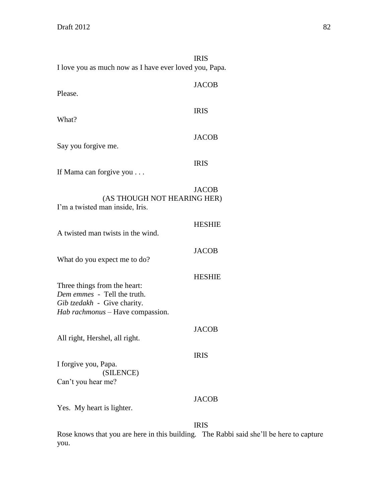|                                                                                                                                | <b>IRIS</b>   |
|--------------------------------------------------------------------------------------------------------------------------------|---------------|
| I love you as much now as I have ever loved you, Papa.                                                                         |               |
| Please.                                                                                                                        | <b>JACOB</b>  |
| What?                                                                                                                          | <b>IRIS</b>   |
| Say you forgive me.                                                                                                            | <b>JACOB</b>  |
| If Mama can forgive you                                                                                                        | <b>IRIS</b>   |
| (AS THOUGH NOT HEARING HER)<br>I'm a twisted man inside, Iris.                                                                 | <b>JACOB</b>  |
| A twisted man twists in the wind.                                                                                              | <b>HESHIE</b> |
| What do you expect me to do?                                                                                                   | <b>JACOB</b>  |
| Three things from the heart:<br>Dem emmes - Tell the truth.<br>Gib tzedakh - Give charity.<br>Hab rachmonus - Have compassion. | <b>HESHIE</b> |
| All right, Hershel, all right.                                                                                                 | <b>JACOB</b>  |
| I forgive you, Papa.<br>(SILENCE)<br>Can't you hear me?                                                                        | <b>IRIS</b>   |
| Yes. My heart is lighter.                                                                                                      | <b>JACOB</b>  |
|                                                                                                                                | <b>IRIS</b>   |

Rose knows that you are here in this building. The Rabbi said she'll be here to capture you.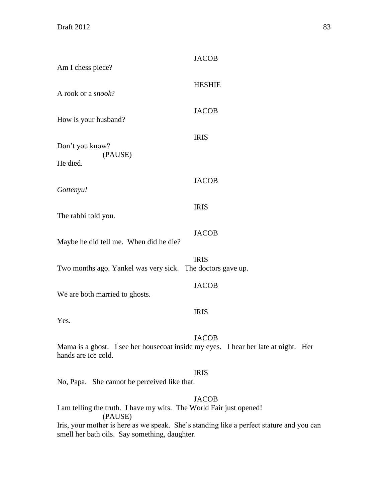| Am I chess piece?                                                                                                                         | <b>JACOB</b>  |
|-------------------------------------------------------------------------------------------------------------------------------------------|---------------|
| A rook or a <i>snook</i> ?                                                                                                                | <b>HESHIE</b> |
| How is your husband?                                                                                                                      | <b>JACOB</b>  |
| Don't you know?<br>(PAUSE)                                                                                                                | <b>IRIS</b>   |
| He died.                                                                                                                                  |               |
| Gottenyu!                                                                                                                                 | <b>JACOB</b>  |
| The rabbi told you.                                                                                                                       | <b>IRIS</b>   |
| Maybe he did tell me. When did he die?                                                                                                    | <b>JACOB</b>  |
| Two months ago. Yankel was very sick. The doctors gave up.                                                                                | <b>IRIS</b>   |
| We are both married to ghosts.                                                                                                            | <b>JACOB</b>  |
| Yes.                                                                                                                                      | <b>IRIS</b>   |
| Mama is a ghost. I see her housecoat inside my eyes. I hear her late at night. Her<br>hands are ice cold.                                 | <b>JACOB</b>  |
| No, Papa. She cannot be perceived like that.                                                                                              | <b>IRIS</b>   |
| I am telling the truth. I have my wits. The World Fair just opened!<br>(PAUSE)                                                            | <b>JACOB</b>  |
| Iris, your mother is here as we speak. She's standing like a perfect stature and you can<br>smell her bath oils. Say something, daughter. |               |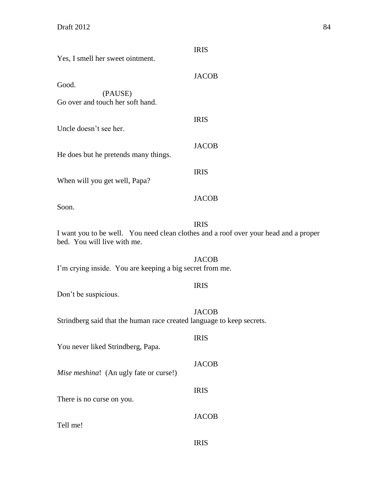| Yes, I smell her sweet ointment.                                      | <b>IRIS</b>                                                                                         |
|-----------------------------------------------------------------------|-----------------------------------------------------------------------------------------------------|
| Good.                                                                 | <b>JACOB</b>                                                                                        |
| (PAUSE)<br>Go over and touch her soft hand.                           |                                                                                                     |
| Uncle doesn't see her.                                                | <b>IRIS</b>                                                                                         |
| He does but he pretends many things.                                  | <b>JACOB</b>                                                                                        |
| When will you get well, Papa?                                         | <b>IRIS</b>                                                                                         |
| Soon.                                                                 | <b>JACOB</b>                                                                                        |
| bed. You will live with me.                                           | <b>IRIS</b><br>I want you to be well. You need clean clothes and a roof over your head and a proper |
| I'm crying inside. You are keeping a big secret from me.              | <b>JACOB</b>                                                                                        |
| Don't be suspicious.                                                  | <b>IRIS</b>                                                                                         |
| Strindberg said that the human race created language to keep secrets. | <b>JACOB</b>                                                                                        |
| You never liked Strindberg, Papa.                                     | <b>IRIS</b>                                                                                         |
| Mise meshina! (An ugly fate or curse!)                                | <b>JACOB</b>                                                                                        |
| There is no curse on you.                                             | <b>IRIS</b>                                                                                         |
| Tell me!                                                              | <b>JACOB</b>                                                                                        |
|                                                                       | <b>IRIS</b>                                                                                         |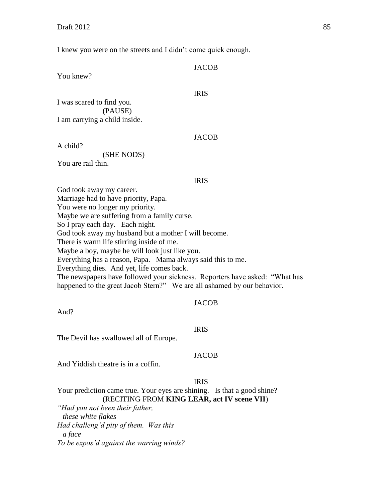You knew?

I knew you were on the streets and I didn't come quick enough.

| <b>JACOB</b> |
|--------------|
|              |
|              |

I was scared to find you. (PAUSE) I am carrying a child inside.

A child?

(SHE NODS)

You are rail thin.

#### IRIS

**JACOB** 

IRIS

God took away my career. Marriage had to have priority, Papa. You were no longer my priority. Maybe we are suffering from a family curse. So I pray each day. Each night. God took away my husband but a mother I will become. There is warm life stirring inside of me. Maybe a boy, maybe he will look just like you. Everything has a reason, Papa. Mama always said this to me. Everything dies. And yet, life comes back. The newspapers have followed your sickness. Reporters have asked: "What has happened to the great Jacob Stern?" We are all ashamed by our behavior.

#### JACOB

And?

#### IRIS

The Devil has swallowed all of Europe.

# **JACOB**

And Yiddish theatre is in a coffin.

# IRIS

Your prediction came true. Your eyes are shining. Is that a good shine? (RECITING FROM **KING LEAR, act IV scene VII**)

*"Had you not been their father, these white flakes Had challeng'd pity of them. Was this a face To be expos'd against the warring winds?*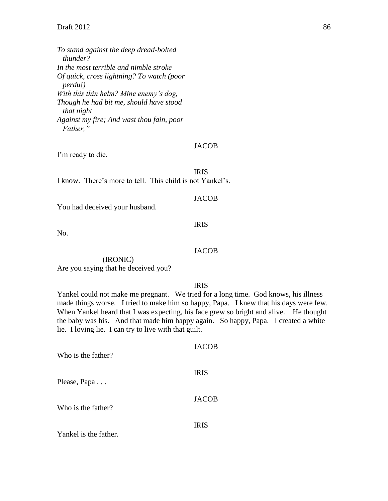*To stand against the deep dread-bolted thunder? In the most terrible and nimble stroke Of quick, cross lightning? To watch (poor perdu!) With this thin helm? Mine enemy's dog, Though he had bit me, should have stood that night Against my fire; And wast thou fain, poor Father,"*

#### JACOB

I'm ready to die.

IRIS

I know. There's more to tell. This child is not Yankel's.

# **JACOB**

You had deceived your husband.

### IRIS

No.

# JACOB

(IRONIC) Are you saying that he deceived you?

IRIS

Yankel could not make me pregnant. We tried for a long time. God knows, his illness made things worse. I tried to make him so happy, Papa. I knew that his days were few. When Yankel heard that I was expecting, his face grew so bright and alive. He thought the baby was his. And that made him happy again. So happy, Papa. I created a white lie. I loving lie. I can try to live with that guilt.

| Who is the father?    | <b>JACOB</b> |
|-----------------------|--------------|
| Please, Papa          | <b>IRIS</b>  |
| Who is the father?    | <b>JACOB</b> |
| Yankel is the father. | <b>IRIS</b>  |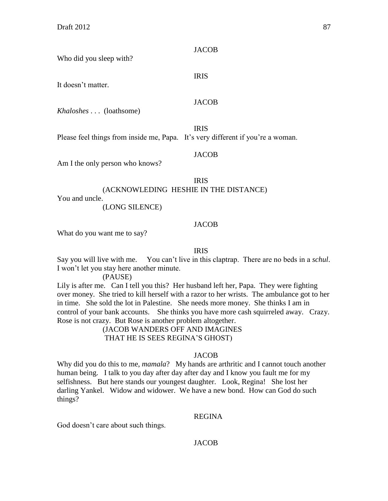**JACOB** 

IRIS

Who did you sleep with?

It doesn't matter.

### JACOB

*Khaloshes* . . . (loathsome)

IRIS Please feel things from inside me, Papa. It's very different if you're a woman.

### **JACOB**

Am I the only person who knows?

### IRIS

(ACKNOWLEDING HESHIE IN THE DISTANCE)

You and uncle.

# (LONG SILENCE)

# **JACOB**

What do you want me to say?

## IRIS

Say you will live with me. You can't live in this claptrap. There are no beds in a *schul*. I won't let you stay here another minute.

# (PAUSE)

Lily is after me. Can I tell you this? Her husband left her, Papa. They were fighting over money. She tried to kill herself with a razor to her wrists. The ambulance got to her in time. She sold the lot in Palestine. She needs more money. She thinks I am in control of your bank accounts. She thinks you have more cash squirreled away. Crazy. Rose is not crazy. But Rose is another problem altogether.

(JACOB WANDERS OFF AND IMAGINES THAT HE IS SEES REGINA'S GHOST)

# JACOB

Why did you do this to me, *mamala*? My hands are arthritic and I cannot touch another human being. I talk to you day after day after day and I know you fault me for my selfishness. But here stands our youngest daughter. Look, Regina! She lost her darling Yankel. Widow and widower. We have a new bond. How can God do such things?

#### REGINA

God doesn't care about such things.

# JACOB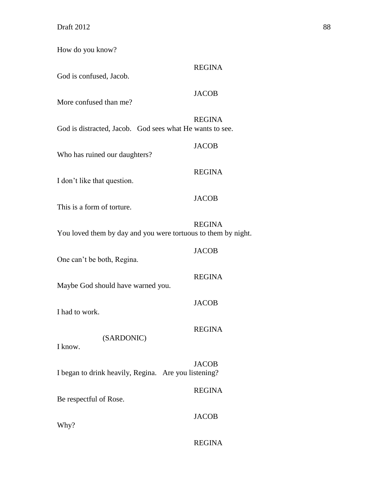How do you know?

| God is confused, Jacob.                                       | <b>REGINA</b> |
|---------------------------------------------------------------|---------------|
| More confused than me?                                        | <b>JACOB</b>  |
| God is distracted, Jacob. God sees what He wants to see.      | <b>REGINA</b> |
| Who has ruined our daughters?                                 | <b>JACOB</b>  |
| I don't like that question.                                   | <b>REGINA</b> |
| This is a form of torture.                                    | <b>JACOB</b>  |
| You loved them by day and you were tortuous to them by night. | <b>REGINA</b> |
| One can't be both, Regina.                                    | <b>JACOB</b>  |
| Maybe God should have warned you.                             | <b>REGINA</b> |
| I had to work.                                                | <b>JACOB</b>  |
| (SARDONIC)                                                    | <b>REGINA</b> |
| I know.                                                       | <b>JACOB</b>  |
| I began to drink heavily, Regina. Are you listening?          |               |
| Be respectful of Rose.                                        | <b>REGINA</b> |
| Why?                                                          | <b>JACOB</b>  |
|                                                               | <b>REGINA</b> |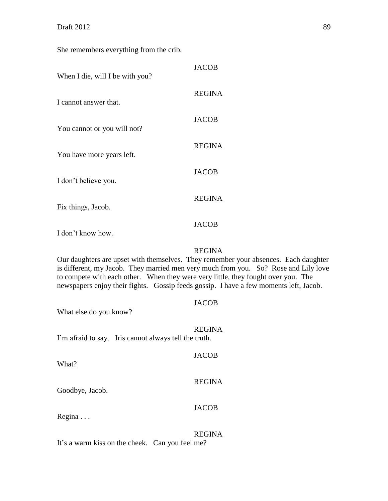She remembers everything from the crib.

| When I die, will I be with you?         | <b>JACOB</b>  |
|-----------------------------------------|---------------|
| I cannot answer that.                   | <b>REGINA</b> |
| You cannot or you will not?             | JACOB         |
| You have more years left.               | <b>REGINA</b> |
| I don't believe you.                    | <b>JACOB</b>  |
|                                         | <b>REGINA</b> |
| Fix things, Jacob.<br>I don't know how. | JACOB         |
|                                         |               |

REGINA

Our daughters are upset with themselves. They remember your absences. Each daughter is different, my Jacob. They married men very much from you. So? Rose and Lily love to compete with each other. When they were very little, they fought over you. The newspapers enjoy their fights. Gossip feeds gossip. I have a few moments left, Jacob.

| What else do you know?                                | <b>JACOB</b>  |
|-------------------------------------------------------|---------------|
| I'm afraid to say. Iris cannot always tell the truth. | <b>REGINA</b> |
| What?                                                 | <b>JACOB</b>  |
| Goodbye, Jacob.                                       | <b>REGINA</b> |
| $Regina \ldots$                                       | <b>JACOB</b>  |
|                                                       | <b>REGINA</b> |

It's a warm kiss on the cheek. Can you feel me?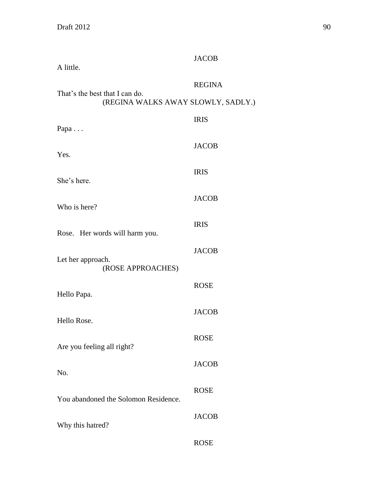| A little.                                                            | <b>JACOB</b>  |
|----------------------------------------------------------------------|---------------|
| That's the best that I can do.<br>(REGINA WALKS AWAY SLOWLY, SADLY.) | <b>REGINA</b> |
| Papa                                                                 | <b>IRIS</b>   |
| Yes.                                                                 | <b>JACOB</b>  |
| She's here.                                                          | <b>IRIS</b>   |
| Who is here?                                                         | <b>JACOB</b>  |
| Rose. Her words will harm you.                                       | <b>IRIS</b>   |
| Let her approach.<br>(ROSE APPROACHES)                               | <b>JACOB</b>  |
| Hello Papa.                                                          | <b>ROSE</b>   |
| Hello Rose.                                                          | <b>JACOB</b>  |
| Are you feeling all right?                                           | <b>ROSE</b>   |
| No.                                                                  | <b>JACOB</b>  |
|                                                                      | <b>ROSE</b>   |
| You abandoned the Solomon Residence.                                 | <b>JACOB</b>  |
| Why this hatred?                                                     | <b>ROSE</b>   |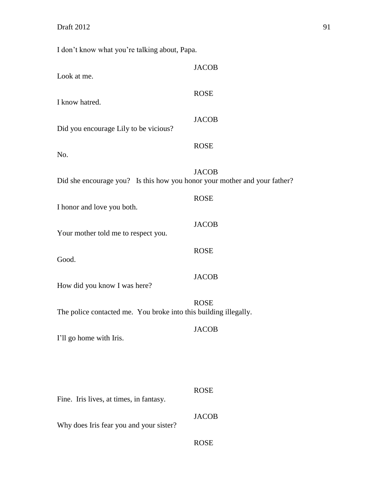I don't know what you're talking about, Papa.

| Look at me.                                                               | <b>JACOB</b> |
|---------------------------------------------------------------------------|--------------|
| I know hatred.                                                            | <b>ROSE</b>  |
| Did you encourage Lily to be vicious?                                     | <b>JACOB</b> |
| No.                                                                       | <b>ROSE</b>  |
| Did she encourage you? Is this how you honor your mother and your father? | <b>JACOB</b> |
| I honor and love you both.                                                | <b>ROSE</b>  |
| Your mother told me to respect you.                                       | <b>JACOB</b> |
| Good.                                                                     | <b>ROSE</b>  |
| How did you know I was here?                                              | <b>JACOB</b> |
| The police contacted me. You broke into this building illegally.          | <b>ROSE</b>  |
| I'll go home with Iris.                                                   | <b>JACOB</b> |
|                                                                           |              |
|                                                                           | <b>ROSE</b>  |
| Fine. Iris lives, at times, in fantasy.                                   |              |
| Why does Iris fear you and your sister?                                   | <b>JACOB</b> |
|                                                                           | <b>ROSE</b>  |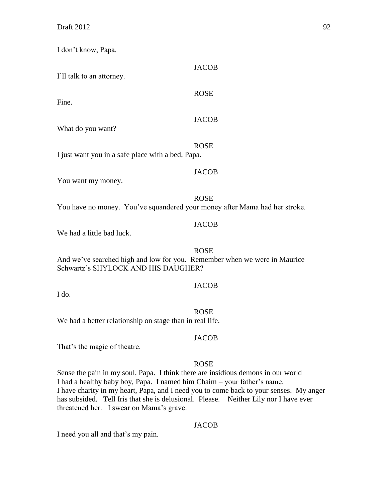I don't know, Papa.

| I'll talk to an attorney.                                                                                        | <b>JACOB</b> |
|------------------------------------------------------------------------------------------------------------------|--------------|
| Fine.                                                                                                            | <b>ROSE</b>  |
| What do you want?                                                                                                | <b>JACOB</b> |
| I just want you in a safe place with a bed, Papa.                                                                | <b>ROSE</b>  |
| You want my money.                                                                                               | <b>JACOB</b> |
| You have no money. You've squandered your money after Mama had her stroke.                                       | <b>ROSE</b>  |
| We had a little bad luck.                                                                                        | <b>JACOB</b> |
| And we've searched high and low for you. Remember when we were in Maurice<br>Schwartz's SHYLOCK AND HIS DAUGHER? | <b>ROSE</b>  |
| I do.                                                                                                            | <b>JACOB</b> |
| We had a better relationship on stage than in real life.                                                         | <b>ROSE</b>  |
| That's the magic of theatre.                                                                                     | <b>JACOB</b> |

ROSE

Sense the pain in my soul, Papa. I think there are insidious demons in our world I had a healthy baby boy, Papa. I named him Chaim – your father's name. I have charity in my heart, Papa, and I need you to come back to your senses. My anger has subsided. Tell Iris that she is delusional. Please. Neither Lily nor I have ever threatened her. I swear on Mama's grave.

# JACOB

I need you all and that's my pain.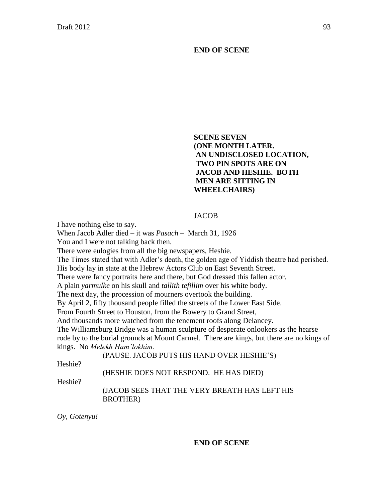**END OF SCENE**

# **SCENE SEVEN (ONE MONTH LATER. AN UNDISCLOSED LOCATION, TWO PIN SPOTS ARE ON JACOB AND HESHIE. BOTH MEN ARE SITTING IN WHEELCHAIRS)**

# JACOB

I have nothing else to say.

When Jacob Adler died – it was *Pasach* – March 31, 1926

You and I were not talking back then.

There were eulogies from all the big newspapers, Heshie.

The Times stated that with Adler's death, the golden age of Yiddish theatre had perished.

His body lay in state at the Hebrew Actors Club on East Seventh Street.

There were fancy portraits here and there, but God dressed this fallen actor.

A plain *yarmulke* on his skull and *tallith tefillim* over his white body.

The next day, the procession of mourners overtook the building.

By April 2, fifty thousand people filled the streets of the Lower East Side.

From Fourth Street to Houston, from the Bowery to Grand Street,

And thousands more watched from the tenement roofs along Delancey.

The Williamsburg Bridge was a human sculpture of desperate onlookers as the hearse

rode by to the burial grounds at Mount Carmel. There are kings, but there are no kings of kings. No *Melekh Ham'lokhim.*

(PAUSE. JACOB PUTS HIS HAND OVER HESHIE'S)

Heshie?

# (HESHIE DOES NOT RESPOND. HE HAS DIED)

Heshie?

(JACOB SEES THAT THE VERY BREATH HAS LEFT HIS BROTHER)

*Oy, Gotenyu!*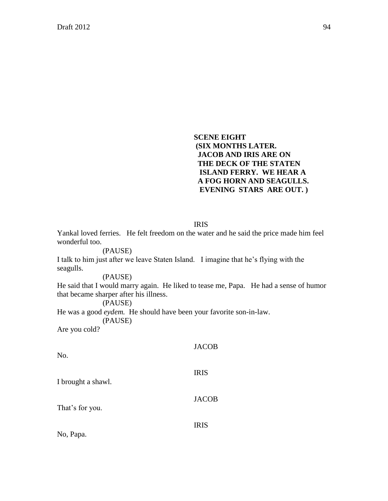**SCENE EIGHT (SIX MONTHS LATER. JACOB AND IRIS ARE ON THE DECK OF THE STATEN ISLAND FERRY. WE HEAR A A FOG HORN AND SEAGULLS. EVENING STARS ARE OUT. )**

IRIS

Yankal loved ferries. He felt freedom on the water and he said the price made him feel wonderful too.

## (PAUSE)

I talk to him just after we leave Staten Island. I imagine that he's flying with the seagulls.

#### (PAUSE)

He said that I would marry again. He liked to tease me, Papa. He had a sense of humor that became sharper after his illness.

## (PAUSE)

He was a good *eydem.* He should have been your favorite son-in-law.

(PAUSE)

Are you cold?

| No.                | <b>JACOB</b> |
|--------------------|--------------|
| I brought a shawl. | <b>IRIS</b>  |
| That's for you.    | <b>JACOB</b> |
| No, Papa.          | <b>IRIS</b>  |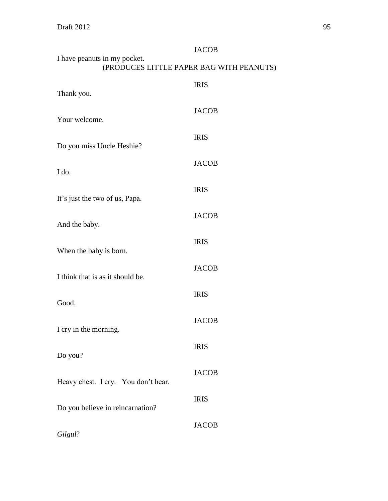**Draft 2012** 95

|                                                                          | <b>JACOB</b> |  |  |
|--------------------------------------------------------------------------|--------------|--|--|
| I have peanuts in my pocket.<br>(PRODUCES LITTLE PAPER BAG WITH PEANUTS) |              |  |  |
|                                                                          | <b>IRIS</b>  |  |  |
| Thank you.                                                               |              |  |  |
| Your welcome.                                                            | <b>JACOB</b> |  |  |
| Do you miss Uncle Heshie?                                                | <b>IRIS</b>  |  |  |
| I do.                                                                    | <b>JACOB</b> |  |  |
| It's just the two of us, Papa.                                           | <b>IRIS</b>  |  |  |
|                                                                          | <b>JACOB</b> |  |  |
| And the baby.                                                            |              |  |  |
| When the baby is born.                                                   | <b>IRIS</b>  |  |  |
| I think that is as it should be.                                         | <b>JACOB</b> |  |  |
| Good.                                                                    | <b>IRIS</b>  |  |  |
| I cry in the morning.                                                    | <b>JACOB</b> |  |  |
|                                                                          | <b>IRIS</b>  |  |  |
| Do you?                                                                  |              |  |  |
| Heavy chest. I cry. You don't hear.                                      | <b>JACOB</b> |  |  |
| Do you believe in reincarnation?                                         | <b>IRIS</b>  |  |  |
| Gilgul?                                                                  | <b>JACOB</b> |  |  |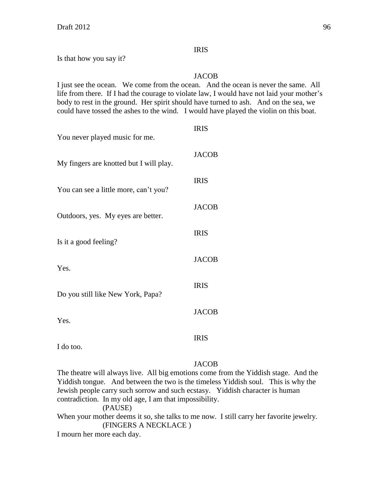# IRIS

Is that how you say it?

# JACOB

I just see the ocean. We come from the ocean. And the ocean is never the same. All life from there. If I had the courage to violate law, I would have not laid your mother's body to rest in the ground. Her spirit should have turned to ash. And on the sea, we could have tossed the ashes to the wind. I would have played the violin on this boat.

| You never played music for me.          | <b>IRIS</b>  |
|-----------------------------------------|--------------|
| My fingers are knotted but I will play. | <b>JACOB</b> |
| You can see a little more, can't you?   | <b>IRIS</b>  |
| Outdoors, yes. My eyes are better.      | <b>JACOB</b> |
| Is it a good feeling?                   | <b>IRIS</b>  |
| Yes.                                    | <b>JACOB</b> |
|                                         | <b>IRIS</b>  |
| Do you still like New York, Papa?       | <b>JACOB</b> |
| Yes.                                    | <b>IRIS</b>  |
| I do too.                               |              |

# **JACOB**

The theatre will always live. All big emotions come from the Yiddish stage. And the Yiddish tongue. And between the two is the timeless Yiddish soul. This is why the Jewish people carry such sorrow and such ecstasy. Yiddish character is human contradiction. In my old age, I am that impossibility. (PAUSE) When your mother deems it so, she talks to me now. I still carry her favorite jewelry. (FINGERS A NECKLACE )

I mourn her more each day.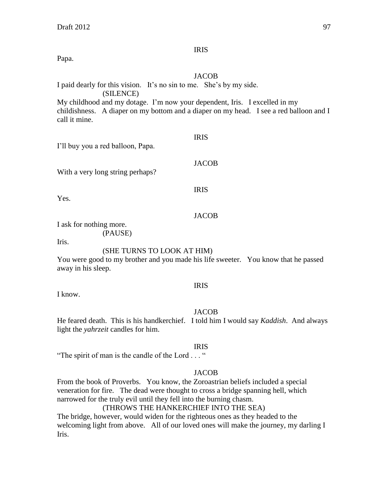# IRIS

Papa.

# JACOB

I paid dearly for this vision. It's no sin to me. She's by my side.

(SILENCE)

My childhood and my dotage. I'm now your dependent, Iris. I excelled in my childishness. A diaper on my bottom and a diaper on my head. I see a red balloon and I call it mine.

| I'll buy you a red balloon, Papa. |  |  |  |  |  |  |
|-----------------------------------|--|--|--|--|--|--|
|-----------------------------------|--|--|--|--|--|--|

With a very long string perhaps?

IRIS

IRIS

JACOB

Yes.

# JACOB

I ask for nothing more.

(PAUSE)

Iris.

# (SHE TURNS TO LOOK AT HIM)

You were good to my brother and you made his life sweeter. You know that he passed away in his sleep.

# IRIS

I know.

# JACOB

He feared death. This is his handkerchief. I told him I would say *Kaddish*. And always light the *yahrzeit* candles for him.

# IRIS

"The spirit of man is the candle of the Lord . . . "

# **JACOB**

From the book of Proverbs. You know, the Zoroastrian beliefs included a special veneration for fire. The dead were thought to cross a bridge spanning hell, which narrowed for the truly evil until they fell into the burning chasm.

# (THROWS THE HANKERCHIEF INTO THE SEA)

The bridge, however, would widen for the righteous ones as they headed to the welcoming light from above. All of our loved ones will make the journey, my darling I Iris.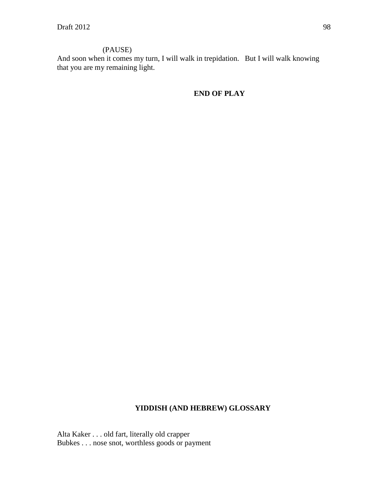# (PAUSE)

And soon when it comes my turn, I will walk in trepidation. But I will walk knowing that you are my remaining light.

**END OF PLAY**

# **YIDDISH (AND HEBREW) GLOSSARY**

Alta Kaker . . . old fart, literally old crapper Bubkes . . . nose snot, worthless goods or payment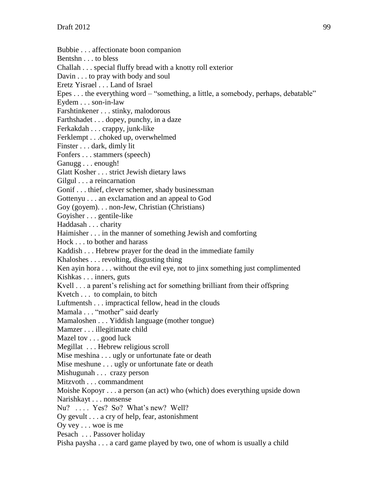Bubbie . . . affectionate boon companion Bentshn . . . to bless Challah . . . special fluffy bread with a knotty roll exterior Davin . . . to pray with body and soul Eretz Yisrael . . . Land of Israel Epes . . . the everything word – "something, a little, a somebody, perhaps, debatable" Eydem . . . son-in-law Farshtinkener . . . stinky, malodorous Farthshadet . . . dopey, punchy, in a daze Ferkakdah . . . crappy, junk-like Ferklempt . . .choked up, overwhelmed Finster . . . dark, dimly lit Fonfers . . . stammers (speech) Ganugg . . . enough! Glatt Kosher . . . strict Jewish dietary laws Gilgul . . . a reincarnation Gonif . . . thief, clever schemer, shady businessman Gottenyu . . . an exclamation and an appeal to God Goy (goyem). . . non-Jew, Christian (Christians) Goyisher . . . gentile-like Haddasah . . . charity Haimisher . . . in the manner of something Jewish and comforting Hock . . . to bother and harass Kaddish . . . Hebrew prayer for the dead in the immediate family Khaloshes . . . revolting, disgusting thing Ken ayin hora . . . without the evil eye, not to jinx something just complimented Kishkas . . . inners, guts Kvell . . . a parent's relishing act for something brilliant from their offspring Kvetch . . . to complain, to bitch Luftmentsh . . . impractical fellow, head in the clouds Mamala . . . "mother" said dearly Mamaloshen . . . Yiddish language (mother tongue) Mamzer . . . illegitimate child Mazel tov . . . good luck Megillat . . . Hebrew religious scroll Mise meshina . . . ugly or unfortunate fate or death Mise meshune . . . ugly or unfortunate fate or death Mishugunah . . . crazy person Mitzvoth . . . commandment Moishe Kopoyr . . . a person (an act) who (which) does everything upside down Narishkayt . . . nonsense Nu? .... Yes? So? What's new? Well? Oy gevult . . . a cry of help, fear, astonishment Oy vey . . . woe is me Pesach . . . Passover holiday Pisha paysha . . . a card game played by two, one of whom is usually a child